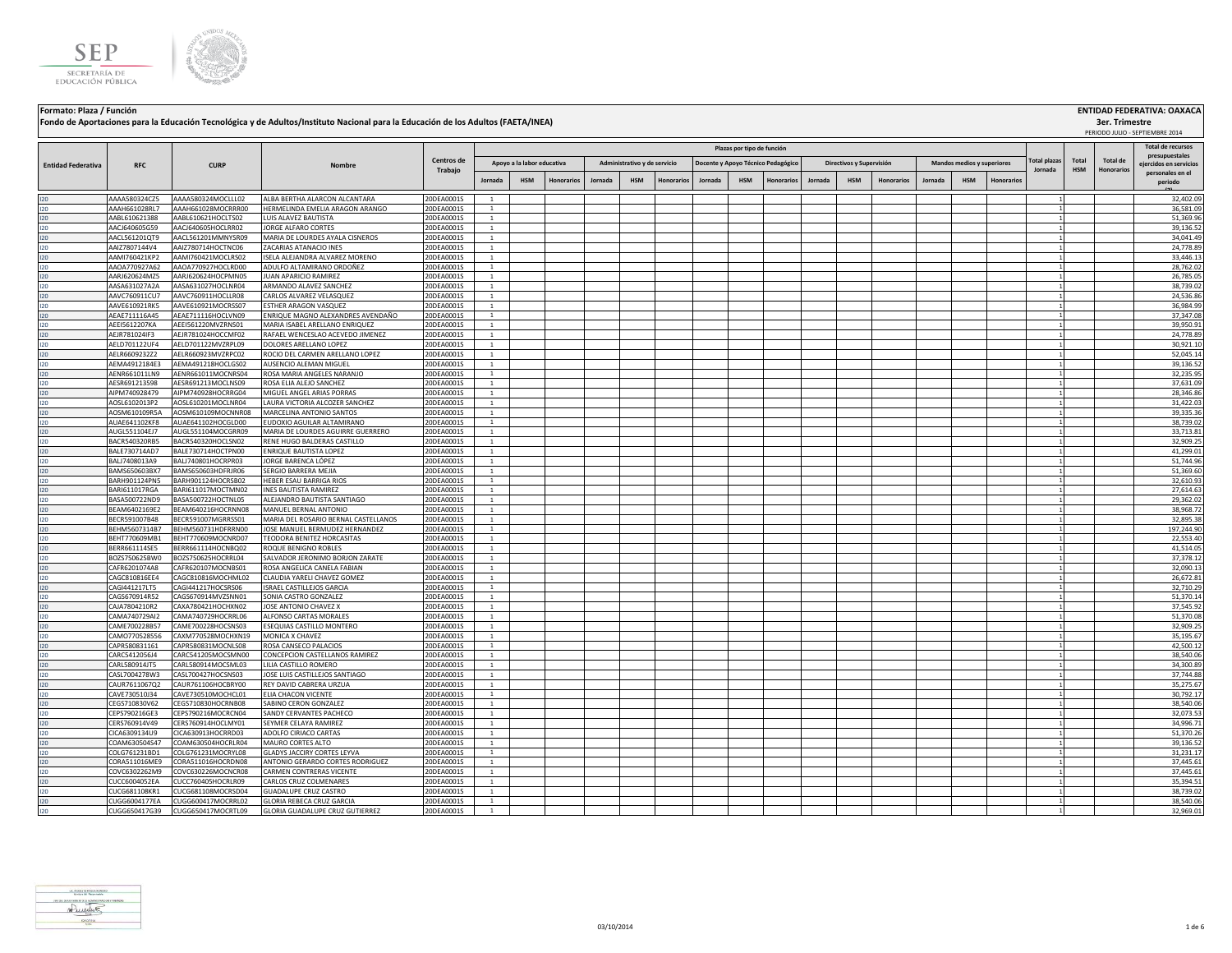



**Formato: Plaza / Función ENTIDAD FEDERATIVA: OAXACA Plazas por tipo de función Fondo de Aportaciones para la Educación Tecnológica y de Adultos/Instituto Nacional para la Educación de los Adultos (FAETA/INEA)**

|                           | <b>RFC</b>                     | <b>CURP</b>                              | Nombre                                                  | Centros de               |                                | Apoyo a la labor educativa |            |         | Administrativo y de servicio |                   |         |            | Docente y Apoyo Técnico Pedagógico |         | Directivos y Supervisión |                   |         | Mandos medios y superiores |                   | <b>Total plazas</b> | Total      | <b>Total de</b> | presupuestales<br>eiercidos en servicios |
|---------------------------|--------------------------------|------------------------------------------|---------------------------------------------------------|--------------------------|--------------------------------|----------------------------|------------|---------|------------------------------|-------------------|---------|------------|------------------------------------|---------|--------------------------|-------------------|---------|----------------------------|-------------------|---------------------|------------|-----------------|------------------------------------------|
| <b>Entidad Federativa</b> |                                |                                          |                                                         | Trabajo                  |                                |                            |            |         |                              |                   |         |            |                                    |         |                          |                   |         |                            |                   | Jornada             | <b>HSM</b> | Honorarios      | personales en el                         |
|                           |                                |                                          |                                                         |                          | Jornada                        | <b>HSM</b>                 | Honorarios | Jornada | <b>HSM</b>                   | <b>Honorarios</b> | Jornada | <b>HSM</b> | Honorarios                         | Jornada | <b>HSM</b>               | <b>Honorarios</b> | Jornada | <b>HSM</b>                 | <b>Honorarios</b> |                     |            |                 | periodo                                  |
| 120                       | AAAA580324CZ5                  | AAAA580324MOCLLL02                       | ALBA BERTHA ALARCON ALCANTARA                           | 20DEA0001S               | <sup>1</sup>                   |                            |            |         |                              |                   |         |            |                                    |         |                          |                   |         |                            |                   |                     |            |                 | 32,402.09                                |
| 120                       | AAAH661028RL7                  | AAAH661028MOCRRR00                       | HERMELINDA EMELIA ARAGON ARANGO                         | 20DEA0001S               | $\mathbf{1}$                   |                            |            |         |                              |                   |         |            |                                    |         |                          |                   |         |                            |                   |                     |            |                 | 36,581.09                                |
| 120                       | AABL610621388                  | AABL610621HOCLTS02                       | LUIS ALAVEZ BAUTISTA                                    | 20DEA0001S               | $\mathbf{1}$                   |                            |            |         |                              |                   |         |            |                                    |         |                          |                   |         |                            |                   |                     |            |                 | 51,369.96                                |
| 120                       | AACJ640605G59                  | AACJ640605HOCLRR02                       | <b>JORGE ALFARO CORTES</b>                              | 20DEA0001S               | $\mathbf{1}$                   |                            |            |         |                              |                   |         |            |                                    |         |                          |                   |         |                            |                   |                     |            |                 | 39,136.52                                |
| 120                       | AACL561201QT9                  | AACL561201MMNYSR09                       | MARIA DE LOURDES AYALA CISNEROS                         | 20DEA0001S               | $\mathbf{1}$                   |                            |            |         |                              |                   |         |            |                                    |         |                          |                   |         |                            |                   |                     |            |                 | 34,041.49                                |
| 120                       | AAIZ7807144V4                  | AAIZ780714HOCTNC06                       | ZACARIAS ATANACIO INES                                  | 20DEA0001S               | $\mathbf{1}$                   |                            |            |         |                              |                   |         |            |                                    |         |                          |                   |         |                            |                   |                     |            |                 | 24,778.89                                |
| 120                       | AAMI760421KP2                  | AAMI760421MOCLRS02                       | ISELA ALEJANDRA ALVAREZ MORENO                          | 20DEA0001S               | <sup>1</sup>                   |                            |            |         |                              |                   |         |            |                                    |         |                          |                   |         |                            |                   |                     |            |                 | 33,446.13                                |
| 120                       | AAOA770927A62                  | AAOA770927HOCLRD00                       | ADULFO ALTAMIRANO ORDOÑEZ                               | 20DEA0001S               | $\mathbf{1}$                   |                            |            |         |                              |                   |         |            |                                    |         |                          |                   |         |                            |                   |                     |            |                 | 28,762.02                                |
| 120<br>120                | AARJ620624MZ5<br>AASA631027A2A | AARJ620624HOCPMN05<br>AASA631027HOCLNR04 | JUAN APARICIO RAMIREZ<br>ARMANDO ALAVEZ SANCHEZ         | 20DEA0001S<br>20DEA0001S | $\mathbf{1}$<br>$\mathbf{1}$   |                            |            |         |                              |                   |         |            |                                    |         |                          |                   |         |                            |                   |                     |            |                 | 26,785.05<br>38,739.02                   |
| 120                       | AAVC760911CU7                  | AAVC760911HOCLLR08                       | CARLOS ALVAREZ VELASQUEZ                                | 20DEA0001S               | <sup>1</sup>                   |                            |            |         |                              |                   |         |            |                                    |         |                          |                   |         |                            |                   |                     |            |                 | 24,536.86                                |
| 120                       | AAVE610921RK5                  | AAVE610921MOCRSS07                       | ESTHER ARAGON VASQUEZ                                   | 20DEA0001S               | $\mathbf{1}$                   |                            |            |         |                              |                   |         |            |                                    |         |                          |                   |         |                            |                   |                     |            |                 | 36,984.99                                |
| 120                       | AEAE711116A45                  | AEAE711116HOCLVN09                       | ENRIQUE MAGNO ALEXANDRES AVENDAÑO                       | 20DEA0001S               | <sup>1</sup>                   |                            |            |         |                              |                   |         |            |                                    |         |                          |                   |         |                            |                   |                     |            |                 | 37,347.08                                |
| 120                       | AEEI5612207KA                  | AEEI561220MVZRNS01                       | MARIA ISABEL ARELLANO ENRIQUEZ                          | 20DEA0001S               | $\mathbf{1}$                   |                            |            |         |                              |                   |         |            |                                    |         |                          |                   |         |                            |                   |                     |            |                 | 39,950.91                                |
| 120                       | AEJR781024IF3                  | AEJR781024HOCCMF02                       | RAFAEL WENCESLAO ACEVEDO JIMENEZ                        | 20DEA0001S               | $\mathbf{1}$                   |                            |            |         |                              |                   |         |            |                                    |         |                          |                   |         |                            |                   |                     |            |                 | 24,778.89                                |
| 120                       | AELD701122UF4                  | AELD701122MVZRPL09                       | DOLORES ARELLANO LOPEZ                                  | 20DEA0001S               | <sup>1</sup>                   |                            |            |         |                              |                   |         |            |                                    |         |                          |                   |         |                            |                   |                     |            |                 | 30,921.10                                |
| 120                       | AELR6609232Z2                  | AELR660923MVZRPC02                       | ROCIO DEL CARMEN ARELLANO LOPEZ                         | 20DEA0001S               | -1                             |                            |            |         |                              |                   |         |            |                                    |         |                          |                   |         |                            |                   |                     |            |                 | 52,045.14                                |
| 120                       | AEMA4912184E3                  | AEMA491218HOCLGS02                       | AUSENCIO ALEMAN MIGUEL                                  | 20DEA0001S               | <sup>1</sup>                   |                            |            |         |                              |                   |         |            |                                    |         |                          |                   |         |                            |                   |                     |            |                 | 39,136.52                                |
| 120                       | AENR661011LN9                  | AENR661011MOCNRS04                       | ROSA MARIA ANGELES NARANJO                              | 20DEA0001S               | $\overline{1}$                 |                            |            |         |                              |                   |         |            |                                    |         |                          |                   |         |                            |                   |                     |            |                 | 32,235.95                                |
| 120                       | AESR691213598                  | AESR691213MOCLNS09                       | ROSA ELIA ALEJO SANCHEZ                                 | 20DEA0001S               | $\mathbf{1}$                   |                            |            |         |                              |                   |         |            |                                    |         |                          |                   |         |                            |                   |                     |            |                 | 37,631.09                                |
| 120                       | AIPM740928479                  | AIPM740928HOCRRG04                       | MIGUEL ANGEL ARIAS PORRAS                               | 20DEA0001S               | $\mathbf{1}$                   |                            |            |         |                              |                   |         |            |                                    |         |                          |                   |         |                            |                   |                     |            |                 | 28,346.86                                |
| 120                       | AOSL6102013P2                  | AOSL610201MOCLNR04<br>AOSM610109MOCNNR08 | LAURA VICTORIA ALCOZER SANCHEZ                          | 20DEA0001S               | -1                             |                            |            |         |                              |                   |         |            |                                    |         |                          |                   |         |                            |                   |                     |            |                 | 31,422.03<br>39,335.36                   |
| 120                       | AOSM610109R5A<br>AUAE641102KF8 | AUAE641102HOCGLD00                       | MARCELINA ANTONIO SANTOS<br>EUDOXIO AGUILAR ALTAMIRANO  | 20DEA0001S<br>20DEA0001S | <sup>1</sup><br>$\overline{1}$ |                            |            |         |                              |                   |         |            |                                    |         |                          |                   |         |                            |                   |                     |            |                 | 38,739.02                                |
| 120<br>120                | AUGL551104EJ7                  | AUGL551104MOCGRR09                       | MARIA DE LOURDES AGUIRRE GUERRERO                       | 20DEA0001S               | $\overline{1}$                 |                            |            |         |                              |                   |         |            |                                    |         |                          |                   |         |                            |                   |                     |            |                 | 33,713.81                                |
| 120                       | BACR540320RB5                  | BACR540320HOCLSN02                       | RENE HUGO BALDERAS CASTILLO                             | 20DEA0001S               | <sup>1</sup>                   |                            |            |         |                              |                   |         |            |                                    |         |                          |                   |         |                            |                   |                     |            |                 | 32,909.25                                |
| 120                       | BALE730714AD7                  | BALE730714HOCTPN00                       | ENRIQUE BAUTISTA LOPEZ                                  | 20DEA0001S               | $\overline{1}$                 |                            |            |         |                              |                   |         |            |                                    |         |                          |                   |         |                            |                   |                     |            |                 | 41,299.01                                |
| 120                       | BALJ7408013A9                  | BALJ740801HOCRPR03                       | JORGE BARENCA LÓPEZ                                     | 20DEA0001S               | <sup>1</sup>                   |                            |            |         |                              |                   |         |            |                                    |         |                          |                   |         |                            |                   |                     |            |                 | 51,744.96                                |
| 120                       | BAMS650603BX7                  | BAMS650603HDFRJR06                       | SERGIO BARRERA MEJIA                                    | 20DEA0001S               | $\overline{1}$                 |                            |            |         |                              |                   |         |            |                                    |         |                          |                   |         |                            |                   |                     |            |                 | 51,369.60                                |
| 120                       | <b>BARH901124PN5</b>           | BARH901124HOCRSB02                       | HEBER ESAU BARRIGA RIOS                                 | 20DEA0001S               | $\overline{1}$                 |                            |            |         |                              |                   |         |            |                                    |         |                          |                   |         |                            |                   |                     |            |                 | 32,610.93                                |
| 120                       | BARI611017RGA                  | BARI611017MOCTMN02                       | <b>INES BAUTISTA RAMIREZ</b>                            | 20DEA0001S               | $\mathbf{1}$                   |                            |            |         |                              |                   |         |            |                                    |         |                          |                   |         |                            |                   |                     |            |                 | 27,614.63                                |
| 120                       | BASA500722ND9                  | BASA500722HOCTNL05                       | ALEJANDRO BAUTISTA SANTIAGO                             | 20DEA0001S               | $\mathbf{1}$                   |                            |            |         |                              |                   |         |            |                                    |         |                          |                   |         |                            |                   |                     |            |                 | 29,362.02                                |
| 120                       | BEAM6402169E2                  | BEAM640216HOCRNN08                       | MANUEL BERNAL ANTONIO                                   | 20DEA0001S               | $\overline{1}$                 |                            |            |         |                              |                   |         |            |                                    |         |                          |                   |         |                            |                   |                     |            |                 | 38,968.72                                |
| 120                       | BECR591007B48                  | BECR591007MGRRSS01                       | MARIA DEL ROSARIO BERNAL CASTELLANOS                    | 20DEA0001S               | $\mathbf{1}$                   |                            |            |         |                              |                   |         |            |                                    |         |                          |                   |         |                            |                   |                     |            |                 | 32,895.38                                |
| 120                       | BEHM5607314B7                  | BEHM560731HDFRRN00                       | JOSE MANUEL BERMUDEZ HERNANDEZ                          | 20DEA0001S               | $\mathbf{1}$                   |                            |            |         |                              |                   |         |            |                                    |         |                          |                   |         |                            |                   |                     |            |                 | 197,244.90                               |
| 120                       | BEHT770609MB1<br>BERR661114SE5 | BEHT770609MOCNRD07<br>BERR661114HOCNBQ02 | TEODORA BENITEZ HORCASITAS<br>ROQUE BENIGNO ROBLES      | 20DEA0001S<br>20DEA0001S | <sup>1</sup><br>$\mathbf{1}$   |                            |            |         |                              |                   |         |            |                                    |         |                          |                   |         |                            |                   |                     |            |                 | 22,553.40<br>41,514.05                   |
| 120<br>120                | BOZS750625BW0                  | BOZS750625HOCRRL04                       | SALVADOR JERONIMO BORJON ZARATE                         | 20DEA0001S               | $\mathbf{1}$                   |                            |            |         |                              |                   |         |            |                                    |         |                          |                   |         |                            |                   |                     |            |                 | 37,378.12                                |
| 120                       | CAFR6201074A8                  | CAFR620107MOCNBS01                       | ROSA ANGELICA CANELA FABIAN                             | 20DEA0001S               | <sup>1</sup>                   |                            |            |         |                              |                   |         |            |                                    |         |                          |                   |         |                            |                   |                     |            |                 | 32,090.13                                |
| 120                       | CAGC810816EE4                  | CAGC810816MOCHML02                       | CLAUDIA YARELI CHAVEZ GOMEZ                             | 20DEA0001S               | $\overline{1}$                 |                            |            |         |                              |                   |         |            |                                    |         |                          |                   |         |                            |                   |                     |            |                 | 26,672.81                                |
| 120                       | CAGI441217LT5                  | CAGI441217HOCSRS06                       | ISRAEL CASTILLEJOS GARCIA                               | 20DEA0001S               | $\mathbf{1}$                   |                            |            |         |                              |                   |         |            |                                    |         |                          |                   |         |                            |                   |                     |            |                 | 32,710.29                                |
| 120                       | CAGS670914R52                  | CAGS670914MVZSNN01                       | SONIA CASTRO GONZALEZ                                   | 20DEA0001S               | $\mathbf{1}$                   |                            |            |         |                              |                   |         |            |                                    |         |                          |                   |         |                            |                   |                     |            |                 | 51,370.14                                |
| 120                       | CAJA7804210R2                  | CAXA780421HOCHXN02                       | JOSE ANTONIO CHAVEZ X                                   | 20DEA0001S               | $\mathbf{1}$                   |                            |            |         |                              |                   |         |            |                                    |         |                          |                   |         |                            |                   |                     |            |                 | 37,545.92                                |
| 120                       | CAMA740729AI2                  | CAMA740729HOCRRL06                       | ALFONSO CARTAS MORALES                                  | 20DEA0001S               | -1                             |                            |            |         |                              |                   |         |            |                                    |         |                          |                   |         |                            |                   |                     |            |                 | 51,370.08                                |
| 120                       | CAME700228B57                  | CAME700228HOCSNS03                       | ESEQUIAS CASTILLO MONTERO                               | 20DEA0001S               | $\mathbf{1}$                   |                            |            |         |                              |                   |         |            |                                    |         |                          |                   |         |                            |                   |                     |            |                 | 32,909.25                                |
| 120                       | CAMO770528556                  | CAXM770528MOCHXN19                       | MONICA X CHAVEZ                                         | 20DEA0001S               | $\mathbf{1}$                   |                            |            |         |                              |                   |         |            |                                    |         |                          |                   |         |                            |                   |                     |            |                 | 35,195.67                                |
| 120                       | CAPR580831161                  | CAPR580831MOCNLS08                       | ROSA CANSECO PALACIOS                                   | 20DEA0001S               | $\mathbf{1}$                   |                            |            |         |                              |                   |         |            |                                    |         |                          |                   |         |                            |                   |                     |            |                 | 42,500.12                                |
| 120                       | CARC5412056J4                  | CARC541205MOCSMN00                       | CONCEPCION CASTELLANOS RAMIREZ                          | 20DEA0001S               | $\mathbf{1}$                   |                            |            |         |                              |                   |         |            |                                    |         |                          |                   |         |                            |                   |                     |            |                 | 38,540.06                                |
| 120                       | CARL580914JT5<br>CASL7004278W3 | CARL580914MOCSML03<br>CASL700427HOCSNS03 | LILIA CASTILLO ROMERO<br>JOSE LUIS CASTILLEJOS SANTIAGO | 20DEA0001S<br>20DEA0001S | $\mathbf{1}$                   |                            |            |         |                              |                   |         |            |                                    |         |                          |                   |         |                            |                   |                     |            |                 | 34,300.89<br>37,744.88                   |
| 120<br>120                | CAUR7611067Q2                  | CAUR761106HOCBRY00                       | REY DAVID CABRERA URZUA                                 | 20DEA0001S               | <sup>1</sup><br>$\mathbf{1}$   |                            |            |         |                              |                   |         |            |                                    |         |                          |                   |         |                            |                   |                     |            |                 | 35,275.67                                |
| 120                       | CAVE730510J34                  | CAVE730510MOCHCL01                       | ELIA CHACON VICENTE                                     | 20DEA0001S               | $\mathbf{1}$                   |                            |            |         |                              |                   |         |            |                                    |         |                          |                   |         |                            |                   |                     |            |                 | 30,792.17                                |
| 120                       | CEGS710830V62                  | CEGS710830HOCRNB08                       | SABINO CERON GONZALEZ                                   | 20DEA0001S               | $\mathbf{1}$                   |                            |            |         |                              |                   |         |            |                                    |         |                          |                   |         |                            |                   |                     |            |                 | 38,540.06                                |
| 120                       | CEPS790216GE3                  | CEPS790216MOCRCN04                       | SANDY CERVANTES PACHECO                                 | 20DEA0001S               | $\mathbf{1}$                   |                            |            |         |                              |                   |         |            |                                    |         |                          |                   |         |                            |                   |                     |            |                 | 32,073.53                                |
| 120                       | CERS760914V49                  | CERS760914HOCLMY01                       | SEYMER CELAYA RAMIREZ                                   | 20DEA0001S               | -1                             |                            |            |         |                              |                   |         |            |                                    |         |                          |                   |         |                            |                   |                     |            |                 | 34,996.71                                |
| 120                       | CICA6309134U9                  | CICA630913HOCRRD03                       | ADOLFO CIRIACO CARTAS                                   | 20DEA0001S               | <sup>1</sup>                   |                            |            |         |                              |                   |         |            |                                    |         |                          |                   |         |                            |                   |                     |            |                 | 51,370.26                                |
| 120                       | COAM630504S47                  | COAM630504HOCRLR04                       | MAURO CORTES ALTO                                       | 20DEA0001S               | $\mathbf{1}$                   |                            |            |         |                              |                   |         |            |                                    |         |                          |                   |         |                            |                   |                     |            |                 | 39,136.52                                |
| 120                       | COLG761231BD1                  | COLG761231MOCRYL08                       | GLADYS JACCIRY CORTES LEYVA                             | 20DEA0001S               | $\mathbf{1}$                   |                            |            |         |                              |                   |         |            |                                    |         |                          |                   |         |                            |                   |                     |            |                 | 31,231.17                                |
| 120                       | CORA511016ME9                  | CORA511016HOCRDN08                       | ANTONIO GERARDO CORTES RODRIGUEZ                        | 20DEA0001S               | $\mathbf{1}$                   |                            |            |         |                              |                   |         |            |                                    |         |                          |                   |         |                            |                   |                     |            |                 | 37,445.61                                |
| 120                       | COVC6302262M9                  | COVC630226MOCNCR08                       | CARMEN CONTRERAS VICENTE                                | 20DEA0001S               | <sup>1</sup>                   |                            |            |         |                              |                   |         |            |                                    |         |                          |                   |         |                            |                   |                     |            |                 | 37,445.61                                |
| 120                       | CUCC6004052EA                  | CUCC760405HOCRLR09                       | CARLOS CRUZ COLMENARES                                  | 20DEA0001S               | <sup>1</sup>                   |                            |            |         |                              |                   |         |            |                                    |         |                          |                   |         |                            |                   |                     |            |                 | 35,394.51                                |
| 120                       | CUCG681108KR1                  | CUCG681108MOCRSD04                       | <b>GUADALUPE CRUZ CASTRO</b>                            | 20DEA0001S               | <sup>1</sup>                   |                            |            |         |                              |                   |         |            |                                    |         |                          |                   |         |                            |                   |                     |            |                 | 38,739.02                                |
| 120                       | CUGG6004177EA                  | CUGG600417MOCRRL02                       | <b>GLORIA REBECA CRUZ GARCIA</b>                        | 20DEA0001S               | $\overline{1}$                 |                            |            |         |                              |                   |         |            |                                    |         |                          |                   |         |                            |                   |                     |            |                 | 38,540.06                                |
| 120                       | CUGG650417G39                  | CUGG650417MOCRTL09                       | GLORIA GUADALUPE CRUZ GUTIERREZ                         | 20DEA0001S               |                                |                            |            |         |                              |                   |         |            |                                    |         |                          |                   |         |                            |                   |                     |            |                 | 32,969.01                                |



**Total de recursos** 

**3er. Trimestre** PERIODO JULIO - SEPTIEMBRE 2014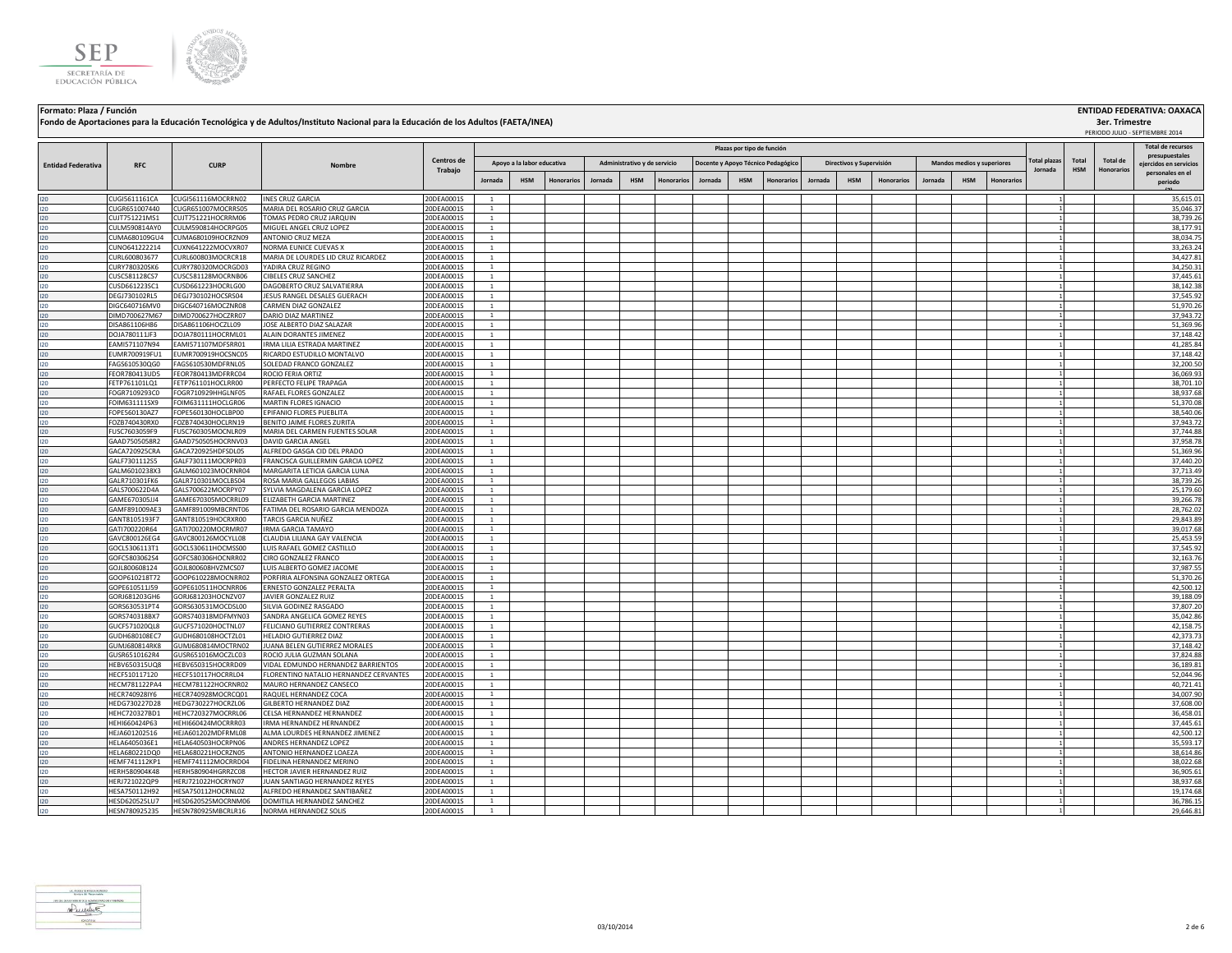



**Formato: Plaza / Función ENTIDAD FEDERATIVA: OAXACA Plazas por tipo de función Fondo de Aportaciones para la Educación Tecnológica y de Adultos/Instituto Nacional para la Educación de los Adultos (FAETA/INEA)**

**Jornada HSM Honorarios Jornada HSM Honorarios Jornada HSM Honorarios Jornada HSM Honorarios Jornada HSM Honorarios Total HSM Total de Honorarios Administrativo y de servicio Docente y Apoyo Técnico Pedagógico Directivos y Supervisión Mandos medios y superiores Total plazas Jornada RFC CURP Nombre Entidad Federativa RFC CURP CORP Nombre Centros de** <br> **CENTRO CURP Nombre CORP CURP CURP Trabajo** pres **ejercidos en servicios personales en el periodo (2) Apoyo a la labor educativa** I20 CUGI5611161CA CUGI561116MOCRRN02 INES CRUZ GARCIA 20DEA0001S 1 1 35,615.01 I20 CUGR651007440 CUGR651007MOCRRS05 MARIA DEL ROSARIO CRUZ GARCIA 20DEA0001S 1 1 35,046.37 I20 CUJT751221MS1 CUJT751221HOCRRM06 TOMAS PEDRO CRUZ JARQUIN 20DEA0001S 1 1 38,739.26 I20 CULM590814AY0 CULM590814HOCRPG05 MIGUEL ANGEL CRUZ LOPEZ 20DEA0001S 1 1 38,177.91 I20 CUMA680109GU4 CUMA680109HOCRZN09 ANTONIO CRUZ MEZA 20DEA0001S 1 1 38,034.75 I20 CUNO641222214 CUXN641222MOCVXR07 NORMA EUNICE CUEVAS X 20DEA0001S 1 1 33,263.24 I20 CURL600803677 CURL600803MOCRCR18 MARIA DE LOURDES LID CRUZ RICARDEZ 20DEA0001S 1 1 34,427.81 I20 CURY780320SK6 CURY780320MOCRGD03 YADIRA CRUZ REGINO 20DEA0001S 1 20DEA0001S 1 20DEA0001S 20DEA0001S 20DEA0001S 20DEA0001S 20DEA0001S 20DEA0001S 20DEA0001S 20DEA00015 20DEA00015 20DEA00015 20DEA00015 20DEA0001 20DEA0001 I20 CUSC581128CS7 CUSC581128MOCRNB06 CIBELES CRUZ SANCHEZ 20DEA0001S 1 2 1 1 2 20DEA0001S 20DEA0001S 1 2 20DEA0001S 20DEADS 20DEADS 20DEADS 20DEADS 20DEADS 20DEADS 2014 2014 2015 27,445.61 I20 CUSD661223SC1 CUSD661223HOCRLG00 DAGOBERTO CRUZ SALVATIERRA 20DEA0001S 1 1 38,142.38 I20 DEGJ730102RL5 DEGJ730102HOCSRS04 JESUS RANGEL DESALES GUERACH 20DEA0001S 1 1 1 1 3 37,545.92 37,545.92 37,545.92 I20 DIGC640716MV0 DIGC640716MOCZNR08 CARMEN DIAZ GONZALEZ 20DEA0001S 1 1 51,970.26 I20 DIMD700627M67 DIMD700627HOCZRR07 DARIO DIAZ MARTINEZ 20DEA0001S 1 1 37,943.72 I20 DISA861106H86 DISA861106HOCZLL09 JOSE ALBERTO DIAZ SALAZAR 20DEA0001S 1 1 51,369.96 I20 DOJA780111JF3 DOJA780111HOCRML01 |ALAIN DORANTESJIMENEZ 20DEA0001S 1 | | | | | | | | | | | | | | | | | 37,148.42 I20 EAMI571107N94 EAMI571107MDFSRR01 IRMA LILIA ESTRADA MARTINEZ 20DEA0001S 1 1 41,285.84 I20 EUMR700919FU1 EUMR700919HOCSNC05 RICARDO ESTUDILLO MONTALVO 20DEA0001S | 1 | | | | | | | | | | | | | | | | I20 PAGS610530QG0 FAGS610530MDFRNL05 SOLEDAD FRANCO GONZALEZ 20DEA0001S 1 2 32,200.50 20DEA0001S 1 3 32,200.50 I20 FEOR780413UD5 FEOR780413MDFRRC04 ROCIO FERIA ORTIZ 20DEA0001S 1 | | | | | | | | | | | | | | | 1 | 36,069.93 I20 PETP761101LQ1 FETP761101HOCLRR00 PERFECTO.FELIPE\_TRAPAGA 20DEA0001S 1 2 38,701.10 20DEA0001S 38,701.10 20DEA0001S 38,701.10 I20 FOGR7109293C0 FOGR710929HHGLNF05 RAFAEL FLORES GONZALEZ 20DEA0001S 1 3 31 31 31 31 38,937.68 I20 FOIM631111SX9 FOIM631111HOCLGR06 |MARTIN FLORES IGNACIO 20DEA0001S | 1 | | | | | | | | | | | | | | | | 51,370.08 I20 FOPE560130AZ7 FOPE560130HOCLBP00 [EPIFANIO FLORES PUEBLITA 20DEA0001S ] 1 ] ] ] ] 28,540.06 ] 20DEA0001S ] 20DEA0001S ] 20DEA0001S ] 20DEA0001S ] ] ] ] ] ] [ ] ] ] [ ] ] [ ] ] [ ] 38,540.06 I20 POZB740430RX0 FOZB740430HOCLRN19 BENITOJAIME FLORES ZURITA 20DEA0001S 1 2 37,943.72 37,943.72 37,943.72 37,943.72 I20 FUSC7603059F9 FUSC760305MOCNLR09 MARIA DEL CARMEN FUENTES SOLAR 20DEA0001S 1 1 37,744.88 I20 GAAD7505058R2 GAAD750505HOCRNV03 DAVID GARCIA ANGEL 20DEA0001S 1 | | | | | | | | | | | | | | | | | 1 | | 37,958.78 I20 GACA720925CRA GACA720925HDFSDL05 ALFREDO GASGA CID DEL PRADO 20DEA0001S 1 1 51,369.96 I20 GALF7301112S5 GALF730111MOCRPR03 FRANCISCA GUILLERMIN GARCIA LOPEZ 20DEA0001S 1 1 37,440.20 I20 GALM6010238X3 GALM601023MOCRNR04 MARGARITA LETICIA GARCIA LUNA 20DEA0001S 1 1 37,713.49 I20 GALR710301FK6 GALR710301MOCLBS04 ROSA MARIA GALLEGOS LABIAS 20DEA0001S 1 | | | | | | | | | | | | | | | | 38,739.26 I20 GALS700622D4A GALS700622MOCRPY07 SYLVIAMAGDALENA GARCIA LOPEZ 20DEA0001S 1 1 2 20DEA0001S 2 20DEA0001S 2 201 2000 201 201 25,179.60 I20 GAME670305JJ4 GAME670305MOCRRL09 ELIZABETH GARCIA MARTINEZ 20DEA0001S 1 1 39,266.78 I20 GAMF891009AE3 GAMF891009MBCRNT06 FATIMA DEL ROSARIO GARCIA MENDOZA 20DEA0001S 1 1 28,762.02 I20 GANT8105193F7 GANT810519HOCRXR00 |TARCISGARCIA NUÑEZ 20DEA0001S 1 | | | | | | | | | | | | | | | | 1 | | 29,843.89 I20 GATI700220R64 GATI700220MOCRMR07 IRMA GARCIA TAMAYO 20DEA0001S 1 1 39,017.68 I20 GAVC800126EG4 GAVC800126MOCYLL08 CLAUDIA.LILIANA GAY VALENCIA 20DEA0001S 1 2 21 2 21 20DEA0001S 20DEA0001S 2 21 2 21 2 25,453.59 I20 GOCL5306113T1 GOCL530611HOCMSS00 LUIS RAFAEL GOMEZ CASTILLO 20DEA0001S 1 1 1 1 1 1 1 1 1 1 1 37,545.92 I20 GOFC5803062S4 GOFC580306HOCNRR02 CIRO GONZALEZ FRANCO 20DEA0001S 1 2 32,163.76 20DEA0001S 1 2 32,163.76 32,163.76 I20 GOJL800608124 GOJL800608HVZMCS07 LUIS ALBERTO GOMEZ JACOME 20DEA0001S 1 1 1 1 3 37,987.55 37,987.55 37,987.55 37,987.55 37,987.55 37,987.55 37,987.55 37,987.55 37,987.55 37,987.55 37,987.55 37,987.55 37,987.55 37,987.5 I20 GOOP610218T72 GOOP610228MOCNRR02 PORFIRIA ALFONSINA GONZALEZ ORTEGA 20DEA0001S 1 1 51,370.26 I20 GOPE610511J59 GOPE610511HOCNRR06 ERNESTO GONZALEZ PERALTA 20DEA0001S 1 1 42,500.12 I20 GORJ681203GH6 GORJ681203HOCNZV07 JAVIERGONZALEZ RUIZ 20DEA0001S 1 1 1 1 1 3 39,188.09 39,188.09 39,188.09 39,188.09 39,188.09 39,188.09 39,188.09 39,188.09 39,188.09 39,188.09 39,188.09 39,188.09 39,188.09 30,188.09 39 I20 GORS630531PT4 GORS630531MOCDSL00 SILVIAGODINEZ RASGADO 20DEA0001S 1 2 37,807.20 20DEA0001S 1 3 37,807.20 37,807.20 I20 GORS740318BX7 GORS740318MDFMYN03 SANDRAANGELICA GOMEZ REYES 20DEA0001S 1 1 1 1 1 1 1 1 1 1 1 35,042.86 I20 GUCF571020QL8 GUCF571020HOCTNL07 FELICIANO GUTIERREZ CONTRERAS 20DEA0001S 1 1 1 1 1 1 1 1 1 1 1 1 1 1 1 1 1 I20 GUDH680108EC7 GUDH680108HOCTZL01 HELADIO GUTIERREZ DIAZ 22 20DEA0001S 1 2 1 4 42,373.73 20DEA0001S 1 4 42,373.73 I20 GUMJ680814RK8 GUMJ680814MOCTRN02 JUANABELEN GUTIERREZ MORALES 20DEA0001S 1 1 1 3 37,148.42 SUN 37,148.42 S I20 GUSR6510162R4 GUSR651016MOCZLC03 ROCIOJULIAGUZMAN SOLANA 20DEA0001S 1 1 1 1 3 37,824.88 37,824.88 37,824.88 I20 HEBV650315UQ8 HEBV650315HOCRRD09 VIDAL EDMUNDO HERNANDEZ BARRIENTOS 20DEA0001S 1 1 36,189.81 I20 HECF510117120 HECF510117HOCRRL04 FLORENTINO NATALIO HERNANDEZ CERVANTES 20DEA0001S 1 1 52,044.96 I20 HECM781122PA4 HECM781122HOCRNR02 MAURO HERNANDEZ CANSECO 20DEA0001S 1 1 40,721.41 I20 HECR740928IY6 HECR740928MOCRCQ01 RAQUELHERNANDEZ COCA 20DEA0001S 1 2 34,007.90 20DEA0001S 1 34,007.90 34,007.90 I20 HEDG730227D28 HEDG730227HOCRZL06 GILBERTO HERNANDEZ DIAZ 20DEA0001S 1 1 37,608.00 I20 HEHC720327BD1 HEHC720327MOCRRL06 CELSA HERNANDEZ HERNANDEZ 20DEA0001S 1 1 36,458.01 I20 HEHI660424P63 HEHI660424MOCRRR03 IRMA HERNANDEZ HERNANDEZ 20DEA0001S 1 1 37,445.61 I20 HEJA601202516 HEJA601202MDFRML08 ALMA LOURDES HERNANDEZ JIMENEZ 20DEA0001S 1 1 42,500.12 120 HELA6405036E1 HELA640503HOCRPN06 |ANDRESHERNANDEZLOPEZ 20DEA0001S 1 | | | | | | | | | | | | | | | | | 35,593.17 I20 HELA680221DQ0 HELA680221HOCRZN05 |ANTONIO HERNANDEZ LOAEZA 20DEA0001S | 1 | | | | | | | | | | | | | | | | 38,614.86 I20 HEMF741112KP1 |HEMF741112KP1 |HEMF741112MOCRRD04 |FIDELINA HERNANDEZ MERINO 20DEA0001S | 1 | 38,022.68 | 3 I20 HERH580904K48 HERH580904HGRRZC08 HECTOR JAVIER HERNANDEZ RUIZ 20DEA0001S 1 1 1 3 36,905.61 3 36,905.61 3 36,905.61 3 36,905.61 3 36,905.61 3 36,905.61 3 36,905.61 3 36,905.61 3 36,905.61 3 36,905.61 3 36,905.61 3 36,90 I20 HERJ721022QP9 HERJ721022HOCRYN07 JUAN SANTIAGO HERNANDEZ REYES 20DEA0001S 1 1 38,937.68 I20 HESA750112H92 HESA750112HOCRNL02 ALFREDO HERNANDEZ SANTIBAÑEZ 20DEA0001S 1 1 19,174.68 I20 HESD620525LU7 HESD620525MOCRNM06 DOMITILA HERNANDEZ SANCHEZ 20DEA0001S 1 1 36,786.15 I20 HESN780925235 HESN780925MBCRLR16 NORMA HERNANDEZ SOLIS 20DEA0001S 1 1 29,646.81



**3er. Trimestre**

PERIODO JULIO - SEPTIEMBRE 2014

**Total de recursos**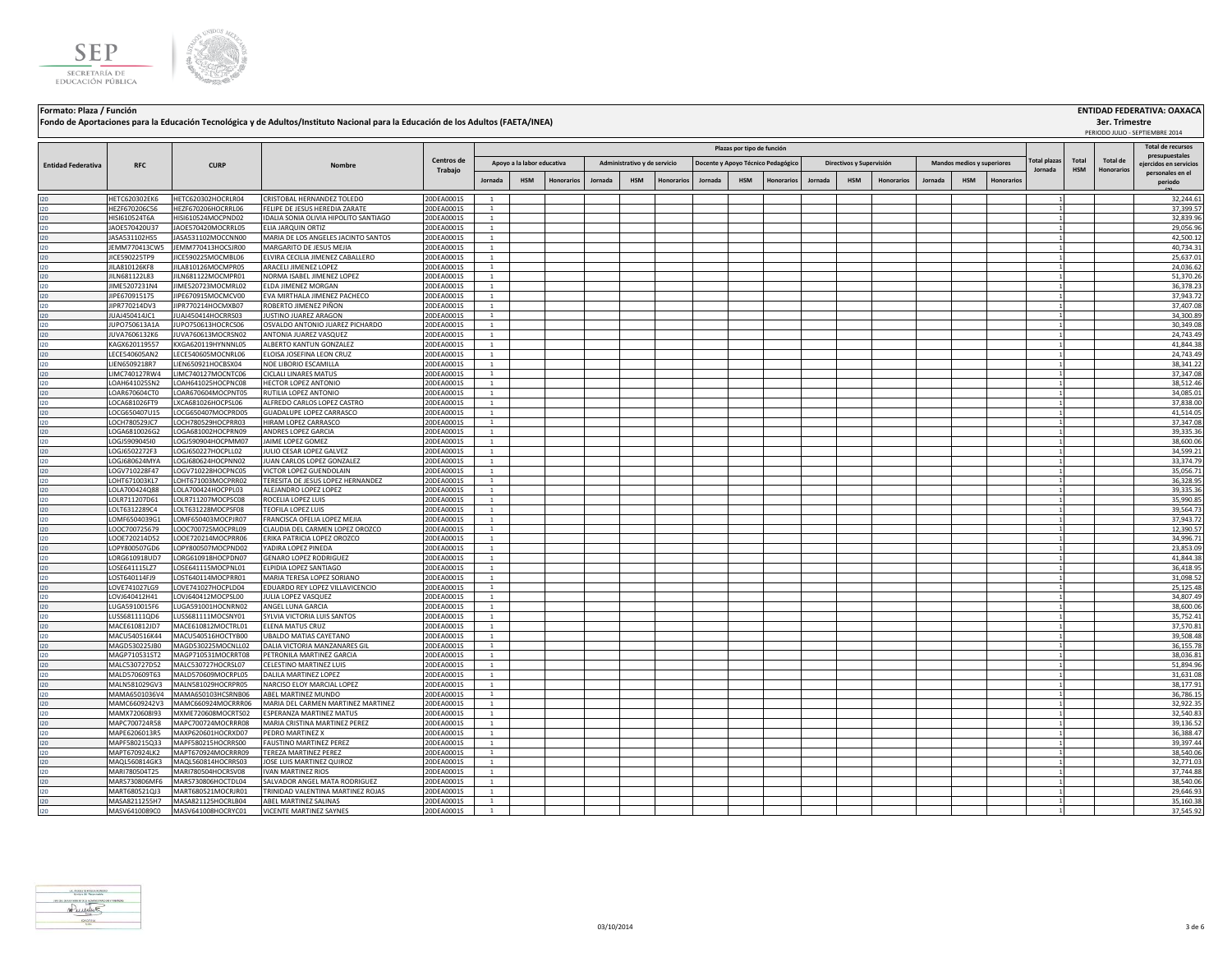



**Formato: Plaza / Función ENTIDAD FEDERATIVA: OAXACA 3er. Trimestre Jornada HSM Honorarios Jornada HSM Honorarios Jornada HSM Honorarios Jornada HSM Honorarios Jornada HSM Honorarios Total HSM Total de Honorarios Administrativo y de servicio Docente y Apoyo Técnico Pedagógico Directivos y Supervisión Mandos medios y superiores Plazas por tipo de función Total plaza Jornada** PERIODO JULIO - SEPTIEMBRE 2014 **RFC CURP Nombre Fondo de Aportaciones para la Educación Tecnológica y de Adultos/Instituto Nacional para la Educación de los Adultos (FAETA/INEA) Entidad Federativa RFC CURP CURP CURP CURP CURP CURP CURP CURP CURP CURP CURP CURP CURP Trabajo Total de recursos ejercidos en servicios Apoyo a la labor educativa** I20 HETC620302EK6 HETC620302HOCRLR04 CRISTOBALHERNANDEZTOLEDO 20DEA0001S 1 | | | | | | | | | | | | | | | | 32,244.61 I20 HEZF670206C56 HEZF670206HOCRRL06 FELIPE DE JESUS HEREDIA ZARATE 20DEA0001S 1 1 37,399.57 I20 HISI610524T6A HISI610524MOCPND02 IDALIA SONIA OLIVIA HIPOLITO SANTIAGO 20DEA0001S 1 1 32,839.96 I20 JAOE570420U37 JAOE570420MOCRRL05 ELIA JARQUIN ORTIZ 20DEA0001S 1 1 29,056.96 I20 JASA531102HS5 JASA531102MOCCNN00 MARIA DE LOS ANGELES JACINTO SANTOS 20DEA0001S 1 1 42,500.12 I20 JEMM770413CW5 JEMM770413HOCSJR00 MARGARITO DE JESUS MEJIA 20DEA0001S 1 1 40,734.31 JICE590225TP9 JICE590225MOCMBL06

| JILN 681122L83<br>JILN681122MOCMPR01<br>NORMA ISABEL JIMENEZ LOPEZ<br>20DEA0001S<br><sup>1</sup><br>120<br>JIME5207231N4<br>JIME520723MOCMRL02<br>ELDA JIMENEZ MORGAN<br>20DEA0001S<br>120<br>$\overline{1}$<br>JIPE670915175<br>JIPE670915MOCMCV00<br>20DEA0001S<br>120<br>EVA MIRTHALA JIMENEZ PACHECO<br>1<br>1<br>JIPR770214DV3<br>JIPR770214HOCMXB07<br>ROBERTO JIMENEZ PIÑON<br>20DEA0001S<br>120<br><sup>1</sup><br>1<br>JUAJ450414JC1<br>JUAJ450414HOCRRS03<br>JUSTINO JUAREZ ARAGON<br>20DEA0001S<br>120<br><sup>1</sup><br><b>IUPO750613A1A</b><br>JUPO750613HOCRCS06<br>OSVALDO ANTONIO JUAREZ PICHARDO<br>20DEA0001S<br>$\mathbf{1}$<br>120<br>20DEA0001S<br>JUVA7606132K6<br>JUVA760613MOCRSN02<br>ANTONIA JUAREZ VASQUEZ<br>$\mathbf{1}$<br>120<br>KAGX620119557<br>20DEA0001S<br>KXGA620119HYNNNL05<br>ALBERTO KANTUN GONZALEZ<br>120<br>$\mathbf{1}$<br>1<br>LECE540605AN2<br>LECE540605MOCNRL06<br>ELOISA JOSEFINA LEON CRUZ<br>20DEA0001S<br><sup>1</sup><br>120<br>20DEA0001S<br>LIEN6509218R7<br>LIEN650921HOCBSX04<br>NOE LIBORIO ESCAMILLA<br>120<br>$\mathbf{1}$<br>20DEA0001S<br>LIMC740127RW4<br>LIMC740127MOCNTC06<br><b>CICLALI LINARES MATUS</b><br>120<br>$\overline{1}$<br>LOAH641025SN2<br>LOAH641025HOCPNC08<br><b>HECTOR LOPEZ ANTONIO</b><br>20DEA0001S<br>120<br><sup>1</sup><br>LOAR670604CT0<br>LOAR670604MOCPNT05<br>20DEA0001S<br>120<br>RUTILIA LOPEZ ANTONIO<br><sup>1</sup><br>120<br>LOCA681026FT9<br>LXCA681026HOCPSL06<br>ALFREDO CARLOS LOPEZ CASTRO<br>20DEA0001S<br>$\mathbf{1}$<br>120<br>LOCG650407U15<br>20DEA0001S<br>LOCG650407MOCPRD05<br><b>GUADALUPE LOPEZ CARRASCO</b><br>$\mathbf{1}$<br>LOCH780529JC7<br>LOCH780529HOCPRR03<br>HIRAM LOPEZ CARRASCO<br>20DEA0001S<br>120<br><sup>1</sup><br>1<br>LOGA6810026G2<br>LOGA681002HOCPRN09<br>ANDRES LOPEZ GARCIA<br>20DEA0001S<br>120<br>$\overline{1}$<br>1<br>120<br>LOGJ5909045I0<br>LOGJ590904HOCPMM07<br>JAIME LOPEZ GOMEZ<br>20DEA0001S<br>$\mathbf{1}$<br>1<br>LOGJ6502272F3<br>LOGJ650227HOCPLL02<br>JULIO CESAR LOPEZ GALVEZ<br>20DEA0001S<br>120<br><sup>1</sup><br>LOGJ680624MYA<br>LOGJ680624HOCPNN02<br>JUAN CARLOS LOPEZ GONZALEZ<br>20DEA0001S<br>$\mathbf{1}$<br>1<br>120<br>LOGV710228F47<br>LOGV710228HOCPNC05<br>20DEA0001S<br>120<br>VICTOR LOPEZ GUENDOLAIN<br>1<br>1<br>LOHT671003KL7<br>20DEA0001S<br>120<br>LOHT671003MOCPRR02<br>TERESITA DE JESUS LOPEZ HERNANDEZ<br>$\overline{1}$<br>$\mathbf{1}$<br>LOLA700424Q88<br>LOLA700424HOCPPL03<br>ALEJANDRO LOPEZ LOPEZ<br>20DEA0001S<br><sup>1</sup><br>120<br>LOLR711207D61<br>LOLR711207MOCPSC08<br>ROCELIA LOPEZ LUIS<br>20DEA0001S<br>$\overline{1}$<br>120<br>LOLT6312289C4<br>LOLT631228MOCPSF08<br>TEOFILA LOPEZ LUIS<br>20DEA0001S<br>120<br>1<br>20DEA0001S<br>120<br>LOMF6504039G1<br>LOMF650403MOCPJR07<br>FRANCISCA OFELIA LOPEZ MEJIA<br><sup>1</sup><br>1<br>LOOC700725679<br>LOOC700725MOCPRL09<br>CLAUDIA DEL CARMEN LOPEZ OROZCO<br>20DEA0001S<br>120<br><sup>1</sup><br>LOOE720214D52<br>LOOE720214MOCPRR06<br>20DEA0001S<br>ERIKA PATRICIA LOPEZ OROZCO<br>$\overline{1}$<br>120<br>20DEA0001S<br>LOPY800507GD6<br>LOPY800507MOCPND02<br>YADIRA LOPEZ PINEDA<br>120<br><sup>1</sup><br>20DEA0001S<br>LORG610918UD7<br>LORG610918HOCPDN07<br><b>GENARO LOPEZ RODRIGUEZ</b><br>120<br>$\mathbf{1}$<br>20DEA0001S<br>LOSE641115LZ7<br>LOSE641115MOCPNL01<br>ELPIDIA LOPEZ SANTIAGO<br>120<br>$\mathbf{1}$<br>$1\vert$<br>LOST640114FJ9<br>LOST640114MOCPRR01<br>MARIA TERESA LOPEZ SORIANO<br>20DEA0001S<br>120<br>$\overline{1}$<br>120<br>LOVE741027LG9<br>LOVE741027HOCPLD04<br>EDUARDO REY LOPEZ VILLAVICENCIO<br>20DEA0001S<br><sup>1</sup><br>20DEA0001S<br>120<br>LOVJ640412H41<br>LOVJ640412MOCPSL00<br>JULIA LOPEZ VASQUEZ<br>$\mathbf{1}$<br>LUGA5910015F6<br>LUGA591001HOCNRN02<br>ANGEL LUNA GARCIA<br>20DEA0001S<br>120<br><sup>1</sup><br>20DEA0001S<br>120<br>LUSS681111QD6<br>LUSS681111MOCSNY01<br>SYLVIA VICTORIA LUIS SANTOS<br>$\overline{1}$<br>120<br>MACE610812JD7<br>MACE610812MOCTRL01<br>ELENA MATUS CRUZ<br>20DEA0001S<br>$\mathbf{1}$<br>MACU540516K44<br>20DEA0001S<br>120<br>MACU540516HOCTYB00<br>UBALDO MATIAS CAYETANO<br>$\mathbf{1}$<br>120<br>MAGD530225JB0<br>MAGD530225MOCNLL02<br>DALIA VICTORIA MANZANARES GIL<br>20DEA0001S<br>$\mathbf{1}$<br>11<br>MAGP710531ST2<br>MAGP710531MOCRRT08<br>PETRONILA MARTINEZ GARCIA<br>20DEA0001S<br>120<br>$\mathbf{1}$<br>MALC530727D52<br>MALC530727HOCRSL07<br>CELESTINO MARTINEZ LUIS<br>20DEA0001S<br>120<br>$\mathbf{1}$<br>1<br>MALD570609T63<br>MALD570609MOCRPL05<br>20DEA0001S<br>120<br>DALILA MARTINEZ LOPEZ<br><sup>1</sup><br>MALN581029GV3<br>MALN581029HOCRPR05<br>NARCISO ELOY MARCIAL LOPEZ<br>20DEA0001S<br>$\overline{1}$<br>1<br>120<br>MAMA6501036V4<br>MAMA650103HCSRNB06<br>20DEA0001S<br>120<br>ABEL MARTINEZ MUNDO<br>$\overline{1}$<br>$\mathbf{1}$<br>120<br>MAMC6609242V3<br>MAMC660924MOCRRR06<br>MARIA DEL CARMEN MARTINEZ MARTINEZ<br>20DEA0001S<br>$\mathbf{1}$<br>120<br>MAMX720608I93<br>MXME720608MOCRTS02<br><b>ESPERANZA MARTINEZ MATUS</b><br>20DEA0001S<br><sup>1</sup><br>MAPC700724R58<br>MAPC700724MOCRRR08<br>MARIA CRISTINA MARTINEZ PEREZ<br>20DEA0001S<br>$\overline{1}$<br>120<br>$\mathbf{1}$ | 51,370.26<br>36,378.23 |
|-------------------------------------------------------------------------------------------------------------------------------------------------------------------------------------------------------------------------------------------------------------------------------------------------------------------------------------------------------------------------------------------------------------------------------------------------------------------------------------------------------------------------------------------------------------------------------------------------------------------------------------------------------------------------------------------------------------------------------------------------------------------------------------------------------------------------------------------------------------------------------------------------------------------------------------------------------------------------------------------------------------------------------------------------------------------------------------------------------------------------------------------------------------------------------------------------------------------------------------------------------------------------------------------------------------------------------------------------------------------------------------------------------------------------------------------------------------------------------------------------------------------------------------------------------------------------------------------------------------------------------------------------------------------------------------------------------------------------------------------------------------------------------------------------------------------------------------------------------------------------------------------------------------------------------------------------------------------------------------------------------------------------------------------------------------------------------------------------------------------------------------------------------------------------------------------------------------------------------------------------------------------------------------------------------------------------------------------------------------------------------------------------------------------------------------------------------------------------------------------------------------------------------------------------------------------------------------------------------------------------------------------------------------------------------------------------------------------------------------------------------------------------------------------------------------------------------------------------------------------------------------------------------------------------------------------------------------------------------------------------------------------------------------------------------------------------------------------------------------------------------------------------------------------------------------------------------------------------------------------------------------------------------------------------------------------------------------------------------------------------------------------------------------------------------------------------------------------------------------------------------------------------------------------------------------------------------------------------------------------------------------------------------------------------------------------------------------------------------------------------------------------------------------------------------------------------------------------------------------------------------------------------------------------------------------------------------------------------------------------------------------------------------------------------------------------------------------------------------------------------------------------------------------------------------------------------------------------------------------------------------------------------------------------------------------------------------------------------------------------------------------------------------------------------------------------------------------------------------------------------------------------------------------------------------------------------------------------------------------------------------------------------------------------------------------------------------------------------------------------------------------------------------------------------------------------------------------------------------------------------------------------------------------------------------------------------------------------------------------------------------------------------------------------------------------------------------------------------------------------------------------------------------------------------------------------------------------------------|------------------------|
|                                                                                                                                                                                                                                                                                                                                                                                                                                                                                                                                                                                                                                                                                                                                                                                                                                                                                                                                                                                                                                                                                                                                                                                                                                                                                                                                                                                                                                                                                                                                                                                                                                                                                                                                                                                                                                                                                                                                                                                                                                                                                                                                                                                                                                                                                                                                                                                                                                                                                                                                                                                                                                                                                                                                                                                                                                                                                                                                                                                                                                                                                                                                                                                                                                                                                                                                                                                                                                                                                                                                                                                                                                                                                                                                                                                                                                                                                                                                                                                                                                                                                                                                                                                                                                                                                                                                                                                                                                                                                                                                                                                                                                                                                                                                                                                                                                                                                                                                                                                                                                                                                                                                                                                                                         |                        |
|                                                                                                                                                                                                                                                                                                                                                                                                                                                                                                                                                                                                                                                                                                                                                                                                                                                                                                                                                                                                                                                                                                                                                                                                                                                                                                                                                                                                                                                                                                                                                                                                                                                                                                                                                                                                                                                                                                                                                                                                                                                                                                                                                                                                                                                                                                                                                                                                                                                                                                                                                                                                                                                                                                                                                                                                                                                                                                                                                                                                                                                                                                                                                                                                                                                                                                                                                                                                                                                                                                                                                                                                                                                                                                                                                                                                                                                                                                                                                                                                                                                                                                                                                                                                                                                                                                                                                                                                                                                                                                                                                                                                                                                                                                                                                                                                                                                                                                                                                                                                                                                                                                                                                                                                                         |                        |
|                                                                                                                                                                                                                                                                                                                                                                                                                                                                                                                                                                                                                                                                                                                                                                                                                                                                                                                                                                                                                                                                                                                                                                                                                                                                                                                                                                                                                                                                                                                                                                                                                                                                                                                                                                                                                                                                                                                                                                                                                                                                                                                                                                                                                                                                                                                                                                                                                                                                                                                                                                                                                                                                                                                                                                                                                                                                                                                                                                                                                                                                                                                                                                                                                                                                                                                                                                                                                                                                                                                                                                                                                                                                                                                                                                                                                                                                                                                                                                                                                                                                                                                                                                                                                                                                                                                                                                                                                                                                                                                                                                                                                                                                                                                                                                                                                                                                                                                                                                                                                                                                                                                                                                                                                         | 37,943.72              |
|                                                                                                                                                                                                                                                                                                                                                                                                                                                                                                                                                                                                                                                                                                                                                                                                                                                                                                                                                                                                                                                                                                                                                                                                                                                                                                                                                                                                                                                                                                                                                                                                                                                                                                                                                                                                                                                                                                                                                                                                                                                                                                                                                                                                                                                                                                                                                                                                                                                                                                                                                                                                                                                                                                                                                                                                                                                                                                                                                                                                                                                                                                                                                                                                                                                                                                                                                                                                                                                                                                                                                                                                                                                                                                                                                                                                                                                                                                                                                                                                                                                                                                                                                                                                                                                                                                                                                                                                                                                                                                                                                                                                                                                                                                                                                                                                                                                                                                                                                                                                                                                                                                                                                                                                                         | 37,407.08              |
|                                                                                                                                                                                                                                                                                                                                                                                                                                                                                                                                                                                                                                                                                                                                                                                                                                                                                                                                                                                                                                                                                                                                                                                                                                                                                                                                                                                                                                                                                                                                                                                                                                                                                                                                                                                                                                                                                                                                                                                                                                                                                                                                                                                                                                                                                                                                                                                                                                                                                                                                                                                                                                                                                                                                                                                                                                                                                                                                                                                                                                                                                                                                                                                                                                                                                                                                                                                                                                                                                                                                                                                                                                                                                                                                                                                                                                                                                                                                                                                                                                                                                                                                                                                                                                                                                                                                                                                                                                                                                                                                                                                                                                                                                                                                                                                                                                                                                                                                                                                                                                                                                                                                                                                                                         | 34,300.89              |
|                                                                                                                                                                                                                                                                                                                                                                                                                                                                                                                                                                                                                                                                                                                                                                                                                                                                                                                                                                                                                                                                                                                                                                                                                                                                                                                                                                                                                                                                                                                                                                                                                                                                                                                                                                                                                                                                                                                                                                                                                                                                                                                                                                                                                                                                                                                                                                                                                                                                                                                                                                                                                                                                                                                                                                                                                                                                                                                                                                                                                                                                                                                                                                                                                                                                                                                                                                                                                                                                                                                                                                                                                                                                                                                                                                                                                                                                                                                                                                                                                                                                                                                                                                                                                                                                                                                                                                                                                                                                                                                                                                                                                                                                                                                                                                                                                                                                                                                                                                                                                                                                                                                                                                                                                         | 30,349.08              |
|                                                                                                                                                                                                                                                                                                                                                                                                                                                                                                                                                                                                                                                                                                                                                                                                                                                                                                                                                                                                                                                                                                                                                                                                                                                                                                                                                                                                                                                                                                                                                                                                                                                                                                                                                                                                                                                                                                                                                                                                                                                                                                                                                                                                                                                                                                                                                                                                                                                                                                                                                                                                                                                                                                                                                                                                                                                                                                                                                                                                                                                                                                                                                                                                                                                                                                                                                                                                                                                                                                                                                                                                                                                                                                                                                                                                                                                                                                                                                                                                                                                                                                                                                                                                                                                                                                                                                                                                                                                                                                                                                                                                                                                                                                                                                                                                                                                                                                                                                                                                                                                                                                                                                                                                                         | 24,743.49              |
|                                                                                                                                                                                                                                                                                                                                                                                                                                                                                                                                                                                                                                                                                                                                                                                                                                                                                                                                                                                                                                                                                                                                                                                                                                                                                                                                                                                                                                                                                                                                                                                                                                                                                                                                                                                                                                                                                                                                                                                                                                                                                                                                                                                                                                                                                                                                                                                                                                                                                                                                                                                                                                                                                                                                                                                                                                                                                                                                                                                                                                                                                                                                                                                                                                                                                                                                                                                                                                                                                                                                                                                                                                                                                                                                                                                                                                                                                                                                                                                                                                                                                                                                                                                                                                                                                                                                                                                                                                                                                                                                                                                                                                                                                                                                                                                                                                                                                                                                                                                                                                                                                                                                                                                                                         | 41,844.38              |
|                                                                                                                                                                                                                                                                                                                                                                                                                                                                                                                                                                                                                                                                                                                                                                                                                                                                                                                                                                                                                                                                                                                                                                                                                                                                                                                                                                                                                                                                                                                                                                                                                                                                                                                                                                                                                                                                                                                                                                                                                                                                                                                                                                                                                                                                                                                                                                                                                                                                                                                                                                                                                                                                                                                                                                                                                                                                                                                                                                                                                                                                                                                                                                                                                                                                                                                                                                                                                                                                                                                                                                                                                                                                                                                                                                                                                                                                                                                                                                                                                                                                                                                                                                                                                                                                                                                                                                                                                                                                                                                                                                                                                                                                                                                                                                                                                                                                                                                                                                                                                                                                                                                                                                                                                         |                        |
|                                                                                                                                                                                                                                                                                                                                                                                                                                                                                                                                                                                                                                                                                                                                                                                                                                                                                                                                                                                                                                                                                                                                                                                                                                                                                                                                                                                                                                                                                                                                                                                                                                                                                                                                                                                                                                                                                                                                                                                                                                                                                                                                                                                                                                                                                                                                                                                                                                                                                                                                                                                                                                                                                                                                                                                                                                                                                                                                                                                                                                                                                                                                                                                                                                                                                                                                                                                                                                                                                                                                                                                                                                                                                                                                                                                                                                                                                                                                                                                                                                                                                                                                                                                                                                                                                                                                                                                                                                                                                                                                                                                                                                                                                                                                                                                                                                                                                                                                                                                                                                                                                                                                                                                                                         | 24,743.49              |
|                                                                                                                                                                                                                                                                                                                                                                                                                                                                                                                                                                                                                                                                                                                                                                                                                                                                                                                                                                                                                                                                                                                                                                                                                                                                                                                                                                                                                                                                                                                                                                                                                                                                                                                                                                                                                                                                                                                                                                                                                                                                                                                                                                                                                                                                                                                                                                                                                                                                                                                                                                                                                                                                                                                                                                                                                                                                                                                                                                                                                                                                                                                                                                                                                                                                                                                                                                                                                                                                                                                                                                                                                                                                                                                                                                                                                                                                                                                                                                                                                                                                                                                                                                                                                                                                                                                                                                                                                                                                                                                                                                                                                                                                                                                                                                                                                                                                                                                                                                                                                                                                                                                                                                                                                         | 38,341.22              |
|                                                                                                                                                                                                                                                                                                                                                                                                                                                                                                                                                                                                                                                                                                                                                                                                                                                                                                                                                                                                                                                                                                                                                                                                                                                                                                                                                                                                                                                                                                                                                                                                                                                                                                                                                                                                                                                                                                                                                                                                                                                                                                                                                                                                                                                                                                                                                                                                                                                                                                                                                                                                                                                                                                                                                                                                                                                                                                                                                                                                                                                                                                                                                                                                                                                                                                                                                                                                                                                                                                                                                                                                                                                                                                                                                                                                                                                                                                                                                                                                                                                                                                                                                                                                                                                                                                                                                                                                                                                                                                                                                                                                                                                                                                                                                                                                                                                                                                                                                                                                                                                                                                                                                                                                                         | 37,347.08              |
|                                                                                                                                                                                                                                                                                                                                                                                                                                                                                                                                                                                                                                                                                                                                                                                                                                                                                                                                                                                                                                                                                                                                                                                                                                                                                                                                                                                                                                                                                                                                                                                                                                                                                                                                                                                                                                                                                                                                                                                                                                                                                                                                                                                                                                                                                                                                                                                                                                                                                                                                                                                                                                                                                                                                                                                                                                                                                                                                                                                                                                                                                                                                                                                                                                                                                                                                                                                                                                                                                                                                                                                                                                                                                                                                                                                                                                                                                                                                                                                                                                                                                                                                                                                                                                                                                                                                                                                                                                                                                                                                                                                                                                                                                                                                                                                                                                                                                                                                                                                                                                                                                                                                                                                                                         | 38.512.46              |
|                                                                                                                                                                                                                                                                                                                                                                                                                                                                                                                                                                                                                                                                                                                                                                                                                                                                                                                                                                                                                                                                                                                                                                                                                                                                                                                                                                                                                                                                                                                                                                                                                                                                                                                                                                                                                                                                                                                                                                                                                                                                                                                                                                                                                                                                                                                                                                                                                                                                                                                                                                                                                                                                                                                                                                                                                                                                                                                                                                                                                                                                                                                                                                                                                                                                                                                                                                                                                                                                                                                                                                                                                                                                                                                                                                                                                                                                                                                                                                                                                                                                                                                                                                                                                                                                                                                                                                                                                                                                                                                                                                                                                                                                                                                                                                                                                                                                                                                                                                                                                                                                                                                                                                                                                         | 34,085.01              |
|                                                                                                                                                                                                                                                                                                                                                                                                                                                                                                                                                                                                                                                                                                                                                                                                                                                                                                                                                                                                                                                                                                                                                                                                                                                                                                                                                                                                                                                                                                                                                                                                                                                                                                                                                                                                                                                                                                                                                                                                                                                                                                                                                                                                                                                                                                                                                                                                                                                                                                                                                                                                                                                                                                                                                                                                                                                                                                                                                                                                                                                                                                                                                                                                                                                                                                                                                                                                                                                                                                                                                                                                                                                                                                                                                                                                                                                                                                                                                                                                                                                                                                                                                                                                                                                                                                                                                                                                                                                                                                                                                                                                                                                                                                                                                                                                                                                                                                                                                                                                                                                                                                                                                                                                                         | 37,838.00              |
|                                                                                                                                                                                                                                                                                                                                                                                                                                                                                                                                                                                                                                                                                                                                                                                                                                                                                                                                                                                                                                                                                                                                                                                                                                                                                                                                                                                                                                                                                                                                                                                                                                                                                                                                                                                                                                                                                                                                                                                                                                                                                                                                                                                                                                                                                                                                                                                                                                                                                                                                                                                                                                                                                                                                                                                                                                                                                                                                                                                                                                                                                                                                                                                                                                                                                                                                                                                                                                                                                                                                                                                                                                                                                                                                                                                                                                                                                                                                                                                                                                                                                                                                                                                                                                                                                                                                                                                                                                                                                                                                                                                                                                                                                                                                                                                                                                                                                                                                                                                                                                                                                                                                                                                                                         | 41,514.05              |
|                                                                                                                                                                                                                                                                                                                                                                                                                                                                                                                                                                                                                                                                                                                                                                                                                                                                                                                                                                                                                                                                                                                                                                                                                                                                                                                                                                                                                                                                                                                                                                                                                                                                                                                                                                                                                                                                                                                                                                                                                                                                                                                                                                                                                                                                                                                                                                                                                                                                                                                                                                                                                                                                                                                                                                                                                                                                                                                                                                                                                                                                                                                                                                                                                                                                                                                                                                                                                                                                                                                                                                                                                                                                                                                                                                                                                                                                                                                                                                                                                                                                                                                                                                                                                                                                                                                                                                                                                                                                                                                                                                                                                                                                                                                                                                                                                                                                                                                                                                                                                                                                                                                                                                                                                         | 37.347.08              |
|                                                                                                                                                                                                                                                                                                                                                                                                                                                                                                                                                                                                                                                                                                                                                                                                                                                                                                                                                                                                                                                                                                                                                                                                                                                                                                                                                                                                                                                                                                                                                                                                                                                                                                                                                                                                                                                                                                                                                                                                                                                                                                                                                                                                                                                                                                                                                                                                                                                                                                                                                                                                                                                                                                                                                                                                                                                                                                                                                                                                                                                                                                                                                                                                                                                                                                                                                                                                                                                                                                                                                                                                                                                                                                                                                                                                                                                                                                                                                                                                                                                                                                                                                                                                                                                                                                                                                                                                                                                                                                                                                                                                                                                                                                                                                                                                                                                                                                                                                                                                                                                                                                                                                                                                                         | 39.335.36              |
|                                                                                                                                                                                                                                                                                                                                                                                                                                                                                                                                                                                                                                                                                                                                                                                                                                                                                                                                                                                                                                                                                                                                                                                                                                                                                                                                                                                                                                                                                                                                                                                                                                                                                                                                                                                                                                                                                                                                                                                                                                                                                                                                                                                                                                                                                                                                                                                                                                                                                                                                                                                                                                                                                                                                                                                                                                                                                                                                                                                                                                                                                                                                                                                                                                                                                                                                                                                                                                                                                                                                                                                                                                                                                                                                                                                                                                                                                                                                                                                                                                                                                                                                                                                                                                                                                                                                                                                                                                                                                                                                                                                                                                                                                                                                                                                                                                                                                                                                                                                                                                                                                                                                                                                                                         | 38,600.06              |
|                                                                                                                                                                                                                                                                                                                                                                                                                                                                                                                                                                                                                                                                                                                                                                                                                                                                                                                                                                                                                                                                                                                                                                                                                                                                                                                                                                                                                                                                                                                                                                                                                                                                                                                                                                                                                                                                                                                                                                                                                                                                                                                                                                                                                                                                                                                                                                                                                                                                                                                                                                                                                                                                                                                                                                                                                                                                                                                                                                                                                                                                                                                                                                                                                                                                                                                                                                                                                                                                                                                                                                                                                                                                                                                                                                                                                                                                                                                                                                                                                                                                                                                                                                                                                                                                                                                                                                                                                                                                                                                                                                                                                                                                                                                                                                                                                                                                                                                                                                                                                                                                                                                                                                                                                         | 34,599.21              |
|                                                                                                                                                                                                                                                                                                                                                                                                                                                                                                                                                                                                                                                                                                                                                                                                                                                                                                                                                                                                                                                                                                                                                                                                                                                                                                                                                                                                                                                                                                                                                                                                                                                                                                                                                                                                                                                                                                                                                                                                                                                                                                                                                                                                                                                                                                                                                                                                                                                                                                                                                                                                                                                                                                                                                                                                                                                                                                                                                                                                                                                                                                                                                                                                                                                                                                                                                                                                                                                                                                                                                                                                                                                                                                                                                                                                                                                                                                                                                                                                                                                                                                                                                                                                                                                                                                                                                                                                                                                                                                                                                                                                                                                                                                                                                                                                                                                                                                                                                                                                                                                                                                                                                                                                                         | 33,374.79              |
|                                                                                                                                                                                                                                                                                                                                                                                                                                                                                                                                                                                                                                                                                                                                                                                                                                                                                                                                                                                                                                                                                                                                                                                                                                                                                                                                                                                                                                                                                                                                                                                                                                                                                                                                                                                                                                                                                                                                                                                                                                                                                                                                                                                                                                                                                                                                                                                                                                                                                                                                                                                                                                                                                                                                                                                                                                                                                                                                                                                                                                                                                                                                                                                                                                                                                                                                                                                                                                                                                                                                                                                                                                                                                                                                                                                                                                                                                                                                                                                                                                                                                                                                                                                                                                                                                                                                                                                                                                                                                                                                                                                                                                                                                                                                                                                                                                                                                                                                                                                                                                                                                                                                                                                                                         | 35,056.71              |
|                                                                                                                                                                                                                                                                                                                                                                                                                                                                                                                                                                                                                                                                                                                                                                                                                                                                                                                                                                                                                                                                                                                                                                                                                                                                                                                                                                                                                                                                                                                                                                                                                                                                                                                                                                                                                                                                                                                                                                                                                                                                                                                                                                                                                                                                                                                                                                                                                                                                                                                                                                                                                                                                                                                                                                                                                                                                                                                                                                                                                                                                                                                                                                                                                                                                                                                                                                                                                                                                                                                                                                                                                                                                                                                                                                                                                                                                                                                                                                                                                                                                                                                                                                                                                                                                                                                                                                                                                                                                                                                                                                                                                                                                                                                                                                                                                                                                                                                                                                                                                                                                                                                                                                                                                         | 36,328.95              |
|                                                                                                                                                                                                                                                                                                                                                                                                                                                                                                                                                                                                                                                                                                                                                                                                                                                                                                                                                                                                                                                                                                                                                                                                                                                                                                                                                                                                                                                                                                                                                                                                                                                                                                                                                                                                                                                                                                                                                                                                                                                                                                                                                                                                                                                                                                                                                                                                                                                                                                                                                                                                                                                                                                                                                                                                                                                                                                                                                                                                                                                                                                                                                                                                                                                                                                                                                                                                                                                                                                                                                                                                                                                                                                                                                                                                                                                                                                                                                                                                                                                                                                                                                                                                                                                                                                                                                                                                                                                                                                                                                                                                                                                                                                                                                                                                                                                                                                                                                                                                                                                                                                                                                                                                                         | 39,335.36              |
|                                                                                                                                                                                                                                                                                                                                                                                                                                                                                                                                                                                                                                                                                                                                                                                                                                                                                                                                                                                                                                                                                                                                                                                                                                                                                                                                                                                                                                                                                                                                                                                                                                                                                                                                                                                                                                                                                                                                                                                                                                                                                                                                                                                                                                                                                                                                                                                                                                                                                                                                                                                                                                                                                                                                                                                                                                                                                                                                                                                                                                                                                                                                                                                                                                                                                                                                                                                                                                                                                                                                                                                                                                                                                                                                                                                                                                                                                                                                                                                                                                                                                                                                                                                                                                                                                                                                                                                                                                                                                                                                                                                                                                                                                                                                                                                                                                                                                                                                                                                                                                                                                                                                                                                                                         | 35,990.85              |
|                                                                                                                                                                                                                                                                                                                                                                                                                                                                                                                                                                                                                                                                                                                                                                                                                                                                                                                                                                                                                                                                                                                                                                                                                                                                                                                                                                                                                                                                                                                                                                                                                                                                                                                                                                                                                                                                                                                                                                                                                                                                                                                                                                                                                                                                                                                                                                                                                                                                                                                                                                                                                                                                                                                                                                                                                                                                                                                                                                                                                                                                                                                                                                                                                                                                                                                                                                                                                                                                                                                                                                                                                                                                                                                                                                                                                                                                                                                                                                                                                                                                                                                                                                                                                                                                                                                                                                                                                                                                                                                                                                                                                                                                                                                                                                                                                                                                                                                                                                                                                                                                                                                                                                                                                         |                        |
|                                                                                                                                                                                                                                                                                                                                                                                                                                                                                                                                                                                                                                                                                                                                                                                                                                                                                                                                                                                                                                                                                                                                                                                                                                                                                                                                                                                                                                                                                                                                                                                                                                                                                                                                                                                                                                                                                                                                                                                                                                                                                                                                                                                                                                                                                                                                                                                                                                                                                                                                                                                                                                                                                                                                                                                                                                                                                                                                                                                                                                                                                                                                                                                                                                                                                                                                                                                                                                                                                                                                                                                                                                                                                                                                                                                                                                                                                                                                                                                                                                                                                                                                                                                                                                                                                                                                                                                                                                                                                                                                                                                                                                                                                                                                                                                                                                                                                                                                                                                                                                                                                                                                                                                                                         | 39,564.73              |
|                                                                                                                                                                                                                                                                                                                                                                                                                                                                                                                                                                                                                                                                                                                                                                                                                                                                                                                                                                                                                                                                                                                                                                                                                                                                                                                                                                                                                                                                                                                                                                                                                                                                                                                                                                                                                                                                                                                                                                                                                                                                                                                                                                                                                                                                                                                                                                                                                                                                                                                                                                                                                                                                                                                                                                                                                                                                                                                                                                                                                                                                                                                                                                                                                                                                                                                                                                                                                                                                                                                                                                                                                                                                                                                                                                                                                                                                                                                                                                                                                                                                                                                                                                                                                                                                                                                                                                                                                                                                                                                                                                                                                                                                                                                                                                                                                                                                                                                                                                                                                                                                                                                                                                                                                         | 37,943.72              |
|                                                                                                                                                                                                                                                                                                                                                                                                                                                                                                                                                                                                                                                                                                                                                                                                                                                                                                                                                                                                                                                                                                                                                                                                                                                                                                                                                                                                                                                                                                                                                                                                                                                                                                                                                                                                                                                                                                                                                                                                                                                                                                                                                                                                                                                                                                                                                                                                                                                                                                                                                                                                                                                                                                                                                                                                                                                                                                                                                                                                                                                                                                                                                                                                                                                                                                                                                                                                                                                                                                                                                                                                                                                                                                                                                                                                                                                                                                                                                                                                                                                                                                                                                                                                                                                                                                                                                                                                                                                                                                                                                                                                                                                                                                                                                                                                                                                                                                                                                                                                                                                                                                                                                                                                                         | 12,390.57              |
|                                                                                                                                                                                                                                                                                                                                                                                                                                                                                                                                                                                                                                                                                                                                                                                                                                                                                                                                                                                                                                                                                                                                                                                                                                                                                                                                                                                                                                                                                                                                                                                                                                                                                                                                                                                                                                                                                                                                                                                                                                                                                                                                                                                                                                                                                                                                                                                                                                                                                                                                                                                                                                                                                                                                                                                                                                                                                                                                                                                                                                                                                                                                                                                                                                                                                                                                                                                                                                                                                                                                                                                                                                                                                                                                                                                                                                                                                                                                                                                                                                                                                                                                                                                                                                                                                                                                                                                                                                                                                                                                                                                                                                                                                                                                                                                                                                                                                                                                                                                                                                                                                                                                                                                                                         | 34,996.71              |
|                                                                                                                                                                                                                                                                                                                                                                                                                                                                                                                                                                                                                                                                                                                                                                                                                                                                                                                                                                                                                                                                                                                                                                                                                                                                                                                                                                                                                                                                                                                                                                                                                                                                                                                                                                                                                                                                                                                                                                                                                                                                                                                                                                                                                                                                                                                                                                                                                                                                                                                                                                                                                                                                                                                                                                                                                                                                                                                                                                                                                                                                                                                                                                                                                                                                                                                                                                                                                                                                                                                                                                                                                                                                                                                                                                                                                                                                                                                                                                                                                                                                                                                                                                                                                                                                                                                                                                                                                                                                                                                                                                                                                                                                                                                                                                                                                                                                                                                                                                                                                                                                                                                                                                                                                         | 23.853.09              |
|                                                                                                                                                                                                                                                                                                                                                                                                                                                                                                                                                                                                                                                                                                                                                                                                                                                                                                                                                                                                                                                                                                                                                                                                                                                                                                                                                                                                                                                                                                                                                                                                                                                                                                                                                                                                                                                                                                                                                                                                                                                                                                                                                                                                                                                                                                                                                                                                                                                                                                                                                                                                                                                                                                                                                                                                                                                                                                                                                                                                                                                                                                                                                                                                                                                                                                                                                                                                                                                                                                                                                                                                                                                                                                                                                                                                                                                                                                                                                                                                                                                                                                                                                                                                                                                                                                                                                                                                                                                                                                                                                                                                                                                                                                                                                                                                                                                                                                                                                                                                                                                                                                                                                                                                                         | 41,844.38              |
|                                                                                                                                                                                                                                                                                                                                                                                                                                                                                                                                                                                                                                                                                                                                                                                                                                                                                                                                                                                                                                                                                                                                                                                                                                                                                                                                                                                                                                                                                                                                                                                                                                                                                                                                                                                                                                                                                                                                                                                                                                                                                                                                                                                                                                                                                                                                                                                                                                                                                                                                                                                                                                                                                                                                                                                                                                                                                                                                                                                                                                                                                                                                                                                                                                                                                                                                                                                                                                                                                                                                                                                                                                                                                                                                                                                                                                                                                                                                                                                                                                                                                                                                                                                                                                                                                                                                                                                                                                                                                                                                                                                                                                                                                                                                                                                                                                                                                                                                                                                                                                                                                                                                                                                                                         | 36,418.95              |
|                                                                                                                                                                                                                                                                                                                                                                                                                                                                                                                                                                                                                                                                                                                                                                                                                                                                                                                                                                                                                                                                                                                                                                                                                                                                                                                                                                                                                                                                                                                                                                                                                                                                                                                                                                                                                                                                                                                                                                                                                                                                                                                                                                                                                                                                                                                                                                                                                                                                                                                                                                                                                                                                                                                                                                                                                                                                                                                                                                                                                                                                                                                                                                                                                                                                                                                                                                                                                                                                                                                                                                                                                                                                                                                                                                                                                                                                                                                                                                                                                                                                                                                                                                                                                                                                                                                                                                                                                                                                                                                                                                                                                                                                                                                                                                                                                                                                                                                                                                                                                                                                                                                                                                                                                         | 31,098.52              |
|                                                                                                                                                                                                                                                                                                                                                                                                                                                                                                                                                                                                                                                                                                                                                                                                                                                                                                                                                                                                                                                                                                                                                                                                                                                                                                                                                                                                                                                                                                                                                                                                                                                                                                                                                                                                                                                                                                                                                                                                                                                                                                                                                                                                                                                                                                                                                                                                                                                                                                                                                                                                                                                                                                                                                                                                                                                                                                                                                                                                                                                                                                                                                                                                                                                                                                                                                                                                                                                                                                                                                                                                                                                                                                                                                                                                                                                                                                                                                                                                                                                                                                                                                                                                                                                                                                                                                                                                                                                                                                                                                                                                                                                                                                                                                                                                                                                                                                                                                                                                                                                                                                                                                                                                                         | 25,125.48              |
|                                                                                                                                                                                                                                                                                                                                                                                                                                                                                                                                                                                                                                                                                                                                                                                                                                                                                                                                                                                                                                                                                                                                                                                                                                                                                                                                                                                                                                                                                                                                                                                                                                                                                                                                                                                                                                                                                                                                                                                                                                                                                                                                                                                                                                                                                                                                                                                                                                                                                                                                                                                                                                                                                                                                                                                                                                                                                                                                                                                                                                                                                                                                                                                                                                                                                                                                                                                                                                                                                                                                                                                                                                                                                                                                                                                                                                                                                                                                                                                                                                                                                                                                                                                                                                                                                                                                                                                                                                                                                                                                                                                                                                                                                                                                                                                                                                                                                                                                                                                                                                                                                                                                                                                                                         | 34,807.49              |
|                                                                                                                                                                                                                                                                                                                                                                                                                                                                                                                                                                                                                                                                                                                                                                                                                                                                                                                                                                                                                                                                                                                                                                                                                                                                                                                                                                                                                                                                                                                                                                                                                                                                                                                                                                                                                                                                                                                                                                                                                                                                                                                                                                                                                                                                                                                                                                                                                                                                                                                                                                                                                                                                                                                                                                                                                                                                                                                                                                                                                                                                                                                                                                                                                                                                                                                                                                                                                                                                                                                                                                                                                                                                                                                                                                                                                                                                                                                                                                                                                                                                                                                                                                                                                                                                                                                                                                                                                                                                                                                                                                                                                                                                                                                                                                                                                                                                                                                                                                                                                                                                                                                                                                                                                         | 38,600.06              |
|                                                                                                                                                                                                                                                                                                                                                                                                                                                                                                                                                                                                                                                                                                                                                                                                                                                                                                                                                                                                                                                                                                                                                                                                                                                                                                                                                                                                                                                                                                                                                                                                                                                                                                                                                                                                                                                                                                                                                                                                                                                                                                                                                                                                                                                                                                                                                                                                                                                                                                                                                                                                                                                                                                                                                                                                                                                                                                                                                                                                                                                                                                                                                                                                                                                                                                                                                                                                                                                                                                                                                                                                                                                                                                                                                                                                                                                                                                                                                                                                                                                                                                                                                                                                                                                                                                                                                                                                                                                                                                                                                                                                                                                                                                                                                                                                                                                                                                                                                                                                                                                                                                                                                                                                                         | 35,752.41              |
|                                                                                                                                                                                                                                                                                                                                                                                                                                                                                                                                                                                                                                                                                                                                                                                                                                                                                                                                                                                                                                                                                                                                                                                                                                                                                                                                                                                                                                                                                                                                                                                                                                                                                                                                                                                                                                                                                                                                                                                                                                                                                                                                                                                                                                                                                                                                                                                                                                                                                                                                                                                                                                                                                                                                                                                                                                                                                                                                                                                                                                                                                                                                                                                                                                                                                                                                                                                                                                                                                                                                                                                                                                                                                                                                                                                                                                                                                                                                                                                                                                                                                                                                                                                                                                                                                                                                                                                                                                                                                                                                                                                                                                                                                                                                                                                                                                                                                                                                                                                                                                                                                                                                                                                                                         |                        |
|                                                                                                                                                                                                                                                                                                                                                                                                                                                                                                                                                                                                                                                                                                                                                                                                                                                                                                                                                                                                                                                                                                                                                                                                                                                                                                                                                                                                                                                                                                                                                                                                                                                                                                                                                                                                                                                                                                                                                                                                                                                                                                                                                                                                                                                                                                                                                                                                                                                                                                                                                                                                                                                                                                                                                                                                                                                                                                                                                                                                                                                                                                                                                                                                                                                                                                                                                                                                                                                                                                                                                                                                                                                                                                                                                                                                                                                                                                                                                                                                                                                                                                                                                                                                                                                                                                                                                                                                                                                                                                                                                                                                                                                                                                                                                                                                                                                                                                                                                                                                                                                                                                                                                                                                                         | 37,570.81              |
|                                                                                                                                                                                                                                                                                                                                                                                                                                                                                                                                                                                                                                                                                                                                                                                                                                                                                                                                                                                                                                                                                                                                                                                                                                                                                                                                                                                                                                                                                                                                                                                                                                                                                                                                                                                                                                                                                                                                                                                                                                                                                                                                                                                                                                                                                                                                                                                                                                                                                                                                                                                                                                                                                                                                                                                                                                                                                                                                                                                                                                                                                                                                                                                                                                                                                                                                                                                                                                                                                                                                                                                                                                                                                                                                                                                                                                                                                                                                                                                                                                                                                                                                                                                                                                                                                                                                                                                                                                                                                                                                                                                                                                                                                                                                                                                                                                                                                                                                                                                                                                                                                                                                                                                                                         | 39,508.48              |
|                                                                                                                                                                                                                                                                                                                                                                                                                                                                                                                                                                                                                                                                                                                                                                                                                                                                                                                                                                                                                                                                                                                                                                                                                                                                                                                                                                                                                                                                                                                                                                                                                                                                                                                                                                                                                                                                                                                                                                                                                                                                                                                                                                                                                                                                                                                                                                                                                                                                                                                                                                                                                                                                                                                                                                                                                                                                                                                                                                                                                                                                                                                                                                                                                                                                                                                                                                                                                                                                                                                                                                                                                                                                                                                                                                                                                                                                                                                                                                                                                                                                                                                                                                                                                                                                                                                                                                                                                                                                                                                                                                                                                                                                                                                                                                                                                                                                                                                                                                                                                                                                                                                                                                                                                         | 36.155.78              |
|                                                                                                                                                                                                                                                                                                                                                                                                                                                                                                                                                                                                                                                                                                                                                                                                                                                                                                                                                                                                                                                                                                                                                                                                                                                                                                                                                                                                                                                                                                                                                                                                                                                                                                                                                                                                                                                                                                                                                                                                                                                                                                                                                                                                                                                                                                                                                                                                                                                                                                                                                                                                                                                                                                                                                                                                                                                                                                                                                                                                                                                                                                                                                                                                                                                                                                                                                                                                                                                                                                                                                                                                                                                                                                                                                                                                                                                                                                                                                                                                                                                                                                                                                                                                                                                                                                                                                                                                                                                                                                                                                                                                                                                                                                                                                                                                                                                                                                                                                                                                                                                                                                                                                                                                                         | 38.036.81              |
|                                                                                                                                                                                                                                                                                                                                                                                                                                                                                                                                                                                                                                                                                                                                                                                                                                                                                                                                                                                                                                                                                                                                                                                                                                                                                                                                                                                                                                                                                                                                                                                                                                                                                                                                                                                                                                                                                                                                                                                                                                                                                                                                                                                                                                                                                                                                                                                                                                                                                                                                                                                                                                                                                                                                                                                                                                                                                                                                                                                                                                                                                                                                                                                                                                                                                                                                                                                                                                                                                                                                                                                                                                                                                                                                                                                                                                                                                                                                                                                                                                                                                                                                                                                                                                                                                                                                                                                                                                                                                                                                                                                                                                                                                                                                                                                                                                                                                                                                                                                                                                                                                                                                                                                                                         | 51,894.96              |
|                                                                                                                                                                                                                                                                                                                                                                                                                                                                                                                                                                                                                                                                                                                                                                                                                                                                                                                                                                                                                                                                                                                                                                                                                                                                                                                                                                                                                                                                                                                                                                                                                                                                                                                                                                                                                                                                                                                                                                                                                                                                                                                                                                                                                                                                                                                                                                                                                                                                                                                                                                                                                                                                                                                                                                                                                                                                                                                                                                                                                                                                                                                                                                                                                                                                                                                                                                                                                                                                                                                                                                                                                                                                                                                                                                                                                                                                                                                                                                                                                                                                                                                                                                                                                                                                                                                                                                                                                                                                                                                                                                                                                                                                                                                                                                                                                                                                                                                                                                                                                                                                                                                                                                                                                         | 31,631.08              |
|                                                                                                                                                                                                                                                                                                                                                                                                                                                                                                                                                                                                                                                                                                                                                                                                                                                                                                                                                                                                                                                                                                                                                                                                                                                                                                                                                                                                                                                                                                                                                                                                                                                                                                                                                                                                                                                                                                                                                                                                                                                                                                                                                                                                                                                                                                                                                                                                                                                                                                                                                                                                                                                                                                                                                                                                                                                                                                                                                                                                                                                                                                                                                                                                                                                                                                                                                                                                                                                                                                                                                                                                                                                                                                                                                                                                                                                                                                                                                                                                                                                                                                                                                                                                                                                                                                                                                                                                                                                                                                                                                                                                                                                                                                                                                                                                                                                                                                                                                                                                                                                                                                                                                                                                                         | 38,177.91              |
|                                                                                                                                                                                                                                                                                                                                                                                                                                                                                                                                                                                                                                                                                                                                                                                                                                                                                                                                                                                                                                                                                                                                                                                                                                                                                                                                                                                                                                                                                                                                                                                                                                                                                                                                                                                                                                                                                                                                                                                                                                                                                                                                                                                                                                                                                                                                                                                                                                                                                                                                                                                                                                                                                                                                                                                                                                                                                                                                                                                                                                                                                                                                                                                                                                                                                                                                                                                                                                                                                                                                                                                                                                                                                                                                                                                                                                                                                                                                                                                                                                                                                                                                                                                                                                                                                                                                                                                                                                                                                                                                                                                                                                                                                                                                                                                                                                                                                                                                                                                                                                                                                                                                                                                                                         | 36.786.15              |
|                                                                                                                                                                                                                                                                                                                                                                                                                                                                                                                                                                                                                                                                                                                                                                                                                                                                                                                                                                                                                                                                                                                                                                                                                                                                                                                                                                                                                                                                                                                                                                                                                                                                                                                                                                                                                                                                                                                                                                                                                                                                                                                                                                                                                                                                                                                                                                                                                                                                                                                                                                                                                                                                                                                                                                                                                                                                                                                                                                                                                                                                                                                                                                                                                                                                                                                                                                                                                                                                                                                                                                                                                                                                                                                                                                                                                                                                                                                                                                                                                                                                                                                                                                                                                                                                                                                                                                                                                                                                                                                                                                                                                                                                                                                                                                                                                                                                                                                                                                                                                                                                                                                                                                                                                         | 32,922.35              |
|                                                                                                                                                                                                                                                                                                                                                                                                                                                                                                                                                                                                                                                                                                                                                                                                                                                                                                                                                                                                                                                                                                                                                                                                                                                                                                                                                                                                                                                                                                                                                                                                                                                                                                                                                                                                                                                                                                                                                                                                                                                                                                                                                                                                                                                                                                                                                                                                                                                                                                                                                                                                                                                                                                                                                                                                                                                                                                                                                                                                                                                                                                                                                                                                                                                                                                                                                                                                                                                                                                                                                                                                                                                                                                                                                                                                                                                                                                                                                                                                                                                                                                                                                                                                                                                                                                                                                                                                                                                                                                                                                                                                                                                                                                                                                                                                                                                                                                                                                                                                                                                                                                                                                                                                                         | 32.540.83              |
|                                                                                                                                                                                                                                                                                                                                                                                                                                                                                                                                                                                                                                                                                                                                                                                                                                                                                                                                                                                                                                                                                                                                                                                                                                                                                                                                                                                                                                                                                                                                                                                                                                                                                                                                                                                                                                                                                                                                                                                                                                                                                                                                                                                                                                                                                                                                                                                                                                                                                                                                                                                                                                                                                                                                                                                                                                                                                                                                                                                                                                                                                                                                                                                                                                                                                                                                                                                                                                                                                                                                                                                                                                                                                                                                                                                                                                                                                                                                                                                                                                                                                                                                                                                                                                                                                                                                                                                                                                                                                                                                                                                                                                                                                                                                                                                                                                                                                                                                                                                                                                                                                                                                                                                                                         | 39,136.52              |
| MAPE6206013R5<br>MAXP620601HOCRXD07<br>20DEA0001S<br>120<br>PEDRO MARTINEZ X<br>1<br>1                                                                                                                                                                                                                                                                                                                                                                                                                                                                                                                                                                                                                                                                                                                                                                                                                                                                                                                                                                                                                                                                                                                                                                                                                                                                                                                                                                                                                                                                                                                                                                                                                                                                                                                                                                                                                                                                                                                                                                                                                                                                                                                                                                                                                                                                                                                                                                                                                                                                                                                                                                                                                                                                                                                                                                                                                                                                                                                                                                                                                                                                                                                                                                                                                                                                                                                                                                                                                                                                                                                                                                                                                                                                                                                                                                                                                                                                                                                                                                                                                                                                                                                                                                                                                                                                                                                                                                                                                                                                                                                                                                                                                                                                                                                                                                                                                                                                                                                                                                                                                                                                                                                                  | 36.388.47              |
| 120<br>MAPF580215Q33<br>MAPF580215HOCRRS00<br><b>FAUSTINO MARTINEZ PEREZ</b><br>20DEA0001S<br>$\mathbf{1}$<br>$\mathbf{1}$                                                                                                                                                                                                                                                                                                                                                                                                                                                                                                                                                                                                                                                                                                                                                                                                                                                                                                                                                                                                                                                                                                                                                                                                                                                                                                                                                                                                                                                                                                                                                                                                                                                                                                                                                                                                                                                                                                                                                                                                                                                                                                                                                                                                                                                                                                                                                                                                                                                                                                                                                                                                                                                                                                                                                                                                                                                                                                                                                                                                                                                                                                                                                                                                                                                                                                                                                                                                                                                                                                                                                                                                                                                                                                                                                                                                                                                                                                                                                                                                                                                                                                                                                                                                                                                                                                                                                                                                                                                                                                                                                                                                                                                                                                                                                                                                                                                                                                                                                                                                                                                                                              | 39,397.44              |
| TEREZA MARTINEZ PEREZ<br>20DEA0001S                                                                                                                                                                                                                                                                                                                                                                                                                                                                                                                                                                                                                                                                                                                                                                                                                                                                                                                                                                                                                                                                                                                                                                                                                                                                                                                                                                                                                                                                                                                                                                                                                                                                                                                                                                                                                                                                                                                                                                                                                                                                                                                                                                                                                                                                                                                                                                                                                                                                                                                                                                                                                                                                                                                                                                                                                                                                                                                                                                                                                                                                                                                                                                                                                                                                                                                                                                                                                                                                                                                                                                                                                                                                                                                                                                                                                                                                                                                                                                                                                                                                                                                                                                                                                                                                                                                                                                                                                                                                                                                                                                                                                                                                                                                                                                                                                                                                                                                                                                                                                                                                                                                                                                                     | 38.540.06              |
| MAPT670924MOCRRR09<br>MAPT670924LK2<br>120<br>$\overline{1}$                                                                                                                                                                                                                                                                                                                                                                                                                                                                                                                                                                                                                                                                                                                                                                                                                                                                                                                                                                                                                                                                                                                                                                                                                                                                                                                                                                                                                                                                                                                                                                                                                                                                                                                                                                                                                                                                                                                                                                                                                                                                                                                                                                                                                                                                                                                                                                                                                                                                                                                                                                                                                                                                                                                                                                                                                                                                                                                                                                                                                                                                                                                                                                                                                                                                                                                                                                                                                                                                                                                                                                                                                                                                                                                                                                                                                                                                                                                                                                                                                                                                                                                                                                                                                                                                                                                                                                                                                                                                                                                                                                                                                                                                                                                                                                                                                                                                                                                                                                                                                                                                                                                                                            |                        |
| $\mathbf{1}$<br>MAQL560814GK3<br>MAQL560814HOCRRS03<br>JOSE LUIS MARTINEZ QUIROZ<br>20DEA0001S<br>120                                                                                                                                                                                                                                                                                                                                                                                                                                                                                                                                                                                                                                                                                                                                                                                                                                                                                                                                                                                                                                                                                                                                                                                                                                                                                                                                                                                                                                                                                                                                                                                                                                                                                                                                                                                                                                                                                                                                                                                                                                                                                                                                                                                                                                                                                                                                                                                                                                                                                                                                                                                                                                                                                                                                                                                                                                                                                                                                                                                                                                                                                                                                                                                                                                                                                                                                                                                                                                                                                                                                                                                                                                                                                                                                                                                                                                                                                                                                                                                                                                                                                                                                                                                                                                                                                                                                                                                                                                                                                                                                                                                                                                                                                                                                                                                                                                                                                                                                                                                                                                                                                                                   | 32,771.03              |
| MARI780504T25<br>MARI780504HOCRSV08<br><b>IVAN MARTINEZ RIOS</b><br>20DEA0001S<br>120<br><sup>1</sup>                                                                                                                                                                                                                                                                                                                                                                                                                                                                                                                                                                                                                                                                                                                                                                                                                                                                                                                                                                                                                                                                                                                                                                                                                                                                                                                                                                                                                                                                                                                                                                                                                                                                                                                                                                                                                                                                                                                                                                                                                                                                                                                                                                                                                                                                                                                                                                                                                                                                                                                                                                                                                                                                                                                                                                                                                                                                                                                                                                                                                                                                                                                                                                                                                                                                                                                                                                                                                                                                                                                                                                                                                                                                                                                                                                                                                                                                                                                                                                                                                                                                                                                                                                                                                                                                                                                                                                                                                                                                                                                                                                                                                                                                                                                                                                                                                                                                                                                                                                                                                                                                                                                   | 37.744.88              |
| 20DEA0001S<br>MARS730806MF6<br>MARS730806HOCTDL04<br>120<br>SALVADOR ANGEL MATA RODRIGUEZ<br><sup>1</sup>                                                                                                                                                                                                                                                                                                                                                                                                                                                                                                                                                                                                                                                                                                                                                                                                                                                                                                                                                                                                                                                                                                                                                                                                                                                                                                                                                                                                                                                                                                                                                                                                                                                                                                                                                                                                                                                                                                                                                                                                                                                                                                                                                                                                                                                                                                                                                                                                                                                                                                                                                                                                                                                                                                                                                                                                                                                                                                                                                                                                                                                                                                                                                                                                                                                                                                                                                                                                                                                                                                                                                                                                                                                                                                                                                                                                                                                                                                                                                                                                                                                                                                                                                                                                                                                                                                                                                                                                                                                                                                                                                                                                                                                                                                                                                                                                                                                                                                                                                                                                                                                                                                               | 38,540.06              |
| TRINIDAD VALENTINA MARTINEZ ROJAS<br>20DEA0001S<br>120<br>MART680521QJ3<br>MART680521MOCRJR01<br>$\mathbf{1}$                                                                                                                                                                                                                                                                                                                                                                                                                                                                                                                                                                                                                                                                                                                                                                                                                                                                                                                                                                                                                                                                                                                                                                                                                                                                                                                                                                                                                                                                                                                                                                                                                                                                                                                                                                                                                                                                                                                                                                                                                                                                                                                                                                                                                                                                                                                                                                                                                                                                                                                                                                                                                                                                                                                                                                                                                                                                                                                                                                                                                                                                                                                                                                                                                                                                                                                                                                                                                                                                                                                                                                                                                                                                                                                                                                                                                                                                                                                                                                                                                                                                                                                                                                                                                                                                                                                                                                                                                                                                                                                                                                                                                                                                                                                                                                                                                                                                                                                                                                                                                                                                                                           | 29,646.93              |
| MASA8211255H7<br>MASA821125HOCRLB04<br>ABEL MARTINEZ SALINAS<br>20DEA0001S<br>120<br>$\overline{1}$                                                                                                                                                                                                                                                                                                                                                                                                                                                                                                                                                                                                                                                                                                                                                                                                                                                                                                                                                                                                                                                                                                                                                                                                                                                                                                                                                                                                                                                                                                                                                                                                                                                                                                                                                                                                                                                                                                                                                                                                                                                                                                                                                                                                                                                                                                                                                                                                                                                                                                                                                                                                                                                                                                                                                                                                                                                                                                                                                                                                                                                                                                                                                                                                                                                                                                                                                                                                                                                                                                                                                                                                                                                                                                                                                                                                                                                                                                                                                                                                                                                                                                                                                                                                                                                                                                                                                                                                                                                                                                                                                                                                                                                                                                                                                                                                                                                                                                                                                                                                                                                                                                                     | 35,160.38              |
| 120<br>MASV6410089C0<br>MASV641008HOCRYC01<br>VICENTE MARTINEZ SAYNES<br>20DEA0001S                                                                                                                                                                                                                                                                                                                                                                                                                                                                                                                                                                                                                                                                                                                                                                                                                                                                                                                                                                                                                                                                                                                                                                                                                                                                                                                                                                                                                                                                                                                                                                                                                                                                                                                                                                                                                                                                                                                                                                                                                                                                                                                                                                                                                                                                                                                                                                                                                                                                                                                                                                                                                                                                                                                                                                                                                                                                                                                                                                                                                                                                                                                                                                                                                                                                                                                                                                                                                                                                                                                                                                                                                                                                                                                                                                                                                                                                                                                                                                                                                                                                                                                                                                                                                                                                                                                                                                                                                                                                                                                                                                                                                                                                                                                                                                                                                                                                                                                                                                                                                                                                                                                                     | 37.545.92              |
|                                                                                                                                                                                                                                                                                                                                                                                                                                                                                                                                                                                                                                                                                                                                                                                                                                                                                                                                                                                                                                                                                                                                                                                                                                                                                                                                                                                                                                                                                                                                                                                                                                                                                                                                                                                                                                                                                                                                                                                                                                                                                                                                                                                                                                                                                                                                                                                                                                                                                                                                                                                                                                                                                                                                                                                                                                                                                                                                                                                                                                                                                                                                                                                                                                                                                                                                                                                                                                                                                                                                                                                                                                                                                                                                                                                                                                                                                                                                                                                                                                                                                                                                                                                                                                                                                                                                                                                                                                                                                                                                                                                                                                                                                                                                                                                                                                                                                                                                                                                                                                                                                                                                                                                                                         |                        |



**presupuestales** 

**personales en el periodo (2)**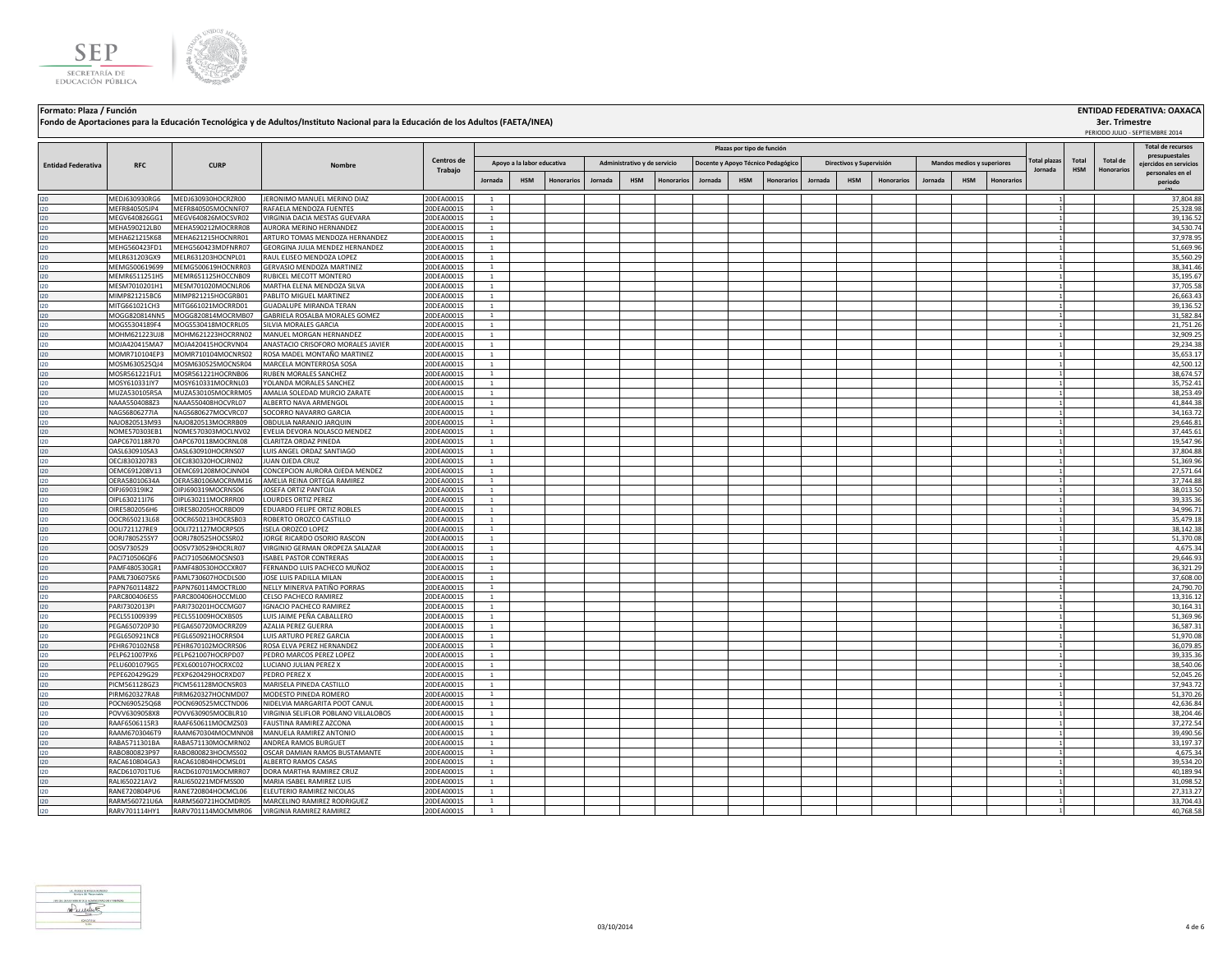



**Formato: Plaza / Función ENTIDAD FEDERATIVA: OAXACA Plazas por tipo de función Fondo de Aportaciones para la Educación Tecnológica y de Adultos/Instituto Nacional para la Educación de los Adultos (FAETA/INEA) Apoyo a la labor educativa**

|                           |                                |                                          |                                                        |                          |                                |                            |                   |         |                              |                   |                                    | Plazas por tipo de función |                   |         |                          |                   |         |                            |           |                     |            |                 | Total de recursos<br>presupuestales |
|---------------------------|--------------------------------|------------------------------------------|--------------------------------------------------------|--------------------------|--------------------------------|----------------------------|-------------------|---------|------------------------------|-------------------|------------------------------------|----------------------------|-------------------|---------|--------------------------|-------------------|---------|----------------------------|-----------|---------------------|------------|-----------------|-------------------------------------|
| <b>Entidad Federativa</b> | <b>RFC</b>                     | <b>CURP</b>                              | Nombre                                                 | Centros de               |                                | Apoyo a la labor educativa |                   |         | Administrativo y de servicio |                   | Docente y Apoyo Técnico Pedagógico |                            |                   |         | Directivos y Supervisión |                   |         | Mandos medios y superiores |           | <b>Total plazas</b> | Total      | <b>Total de</b> | eiercidos en servicios              |
|                           |                                |                                          |                                                        | Trabajo                  |                                |                            |                   |         |                              |                   |                                    |                            |                   |         |                          |                   |         |                            |           | Jornada             | <b>HSM</b> | Honorarios      | personales en el                    |
|                           |                                |                                          |                                                        |                          | lornada                        | <b>HSM</b>                 | <b>Honorarios</b> | Jornada | <b>HSM</b>                   | <b>Honorarios</b> | Jornada                            | <b>HSM</b>                 | <b>Honorarios</b> | Jornada | <b>HSM</b>               | <b>Honorarios</b> | Jornada | <b>HSM</b>                 | Honorario |                     |            |                 | periodo                             |
| 120                       | MEDJ630930RG6                  | MEDJ630930HOCRZR00                       | JERONIMO MANUEL MERINO DIAZ                            | 20DEA0001S               | $\overline{1}$                 |                            |                   |         |                              |                   |                                    |                            |                   |         |                          |                   |         |                            |           |                     |            |                 | 37.804.88                           |
| 120                       | MEFR840505JP4                  | MEFR840505MOCNNF07                       | RAFAELA MENDOZA FUENTES                                | 20DEA0001S               | <sup>1</sup>                   |                            |                   |         |                              |                   |                                    |                            |                   |         |                          |                   |         |                            |           |                     |            |                 | 25,328.98                           |
| 120                       | MEGV640826GG1                  | MEGV640826MOCSVR02                       | VIRGINIA DACIA MESTAS GUEVARA                          | 20DEA0001S               | <sup>1</sup>                   |                            |                   |         |                              |                   |                                    |                            |                   |         |                          |                   |         |                            |           |                     |            |                 | 39,136.52                           |
| 120                       | MEHA590212LB0                  | MEHA590212MOCRRR08                       | AURORA MERINO HERNANDEZ                                | 20DEA0001S               | $\overline{1}$                 |                            |                   |         |                              |                   |                                    |                            |                   |         |                          |                   |         |                            |           |                     |            |                 | 34,530.74                           |
| 120                       | MEHA621215K68                  | MEHA621215HOCNRR01                       | ARTURO TOMAS MENDOZA HERNANDEZ                         | 20DEA0001S               | $\overline{1}$                 |                            |                   |         |                              |                   |                                    |                            |                   |         |                          |                   |         |                            |           |                     |            |                 | 37,978.95                           |
| 120                       | MEHG560423FD1                  | MEHG560423MDFNRR07                       | GEORGINA JULIA MENDEZ HERNANDEZ                        | 20DEA0001S               | $\mathbf{1}$                   |                            |                   |         |                              |                   |                                    |                            |                   |         |                          |                   |         |                            |           |                     |            |                 | 51,669.96                           |
| 120                       | MELR631203GX9                  | MELR631203HOCNPL01                       | RAUL ELISEO MENDOZA LOPEZ                              | 20DEA0001S               | 1                              |                            |                   |         |                              |                   |                                    |                            |                   |         |                          |                   |         |                            |           |                     |            |                 | 35,560.29                           |
| 120                       | MEMG500619699                  | MEMG500619HOCNRR03                       | GERVASIO MENDOZA MARTINEZ                              | 20DEA0001S               | <sup>1</sup>                   |                            |                   |         |                              |                   |                                    |                            |                   |         |                          |                   |         |                            |           |                     |            |                 | 38,341.46                           |
| 120                       | MEMR6511251H5<br>MESM7010201H1 | MEMR651125HOCCNB09<br>MESM701020MOCNLR06 | RUBICEL MECOTT MONTERO<br>MARTHA ELENA MENDOZA SILVA   | 20DEA0001S               | <sup>1</sup><br><sup>1</sup>   |                            |                   |         |                              |                   |                                    |                            |                   |         |                          |                   |         |                            |           |                     |            |                 | 35,195.67<br>37,705.58              |
| 120<br>120                | MIMP821215BC6                  | MIMP821215HOCGRB01                       | PABLITO MIGUEL MARTINEZ                                | 20DEA0001S<br>20DEA0001S | <sup>1</sup>                   |                            |                   |         |                              |                   |                                    |                            |                   |         |                          |                   |         |                            |           |                     |            |                 | 26,663.43                           |
| 120                       | MITG661021CH3                  | MITG661021MOCRRD01                       | GUADALUPE MIRANDA TERAN                                | 20DEA0001S               | <sup>1</sup>                   |                            |                   |         |                              |                   |                                    |                            |                   |         |                          |                   |         |                            |           |                     |            |                 | 39,136.52                           |
| 120                       | MOGG820814NN5                  | MOGG820814MOCRMB07                       | GABRIELA ROSALBA MORALES GOMEZ                         | 20DEA0001S               | $\mathbf{1}$                   |                            |                   |         |                              |                   |                                    |                            |                   |         |                          |                   |         |                            |           |                     |            |                 | 31,582.84                           |
| 120                       | MOGS5304189F4                  | MOGS530418MOCRRL05                       | SILVIA MORALES GARCIA                                  | 20DEA0001S               | $\mathbf{1}$                   |                            |                   |         |                              |                   |                                    |                            |                   |         |                          |                   |         |                            |           |                     |            |                 | 21.751.26                           |
| 120                       | MOHM621223UJ8                  | MOHM621223HOCRRN02                       | MANUEL MORGAN HERNANDEZ                                | 20DEA0001S               | <sup>1</sup>                   |                            |                   |         |                              |                   |                                    |                            |                   |         |                          |                   |         |                            |           |                     |            |                 | 32,909.25                           |
| 120                       | MOJA420415MA7                  | MOJA420415HOCRVN04                       | ANASTACIO CRISOFORO MORALES JAVIER                     | 20DEA0001S               | $\mathbf{1}$                   |                            |                   |         |                              |                   |                                    |                            |                   |         |                          |                   |         |                            |           |                     |            |                 | 29,234.38                           |
| 120                       | MOMR710104EP3                  | MOMR710104MOCNRS02                       | ROSA MADEL MONTAÑO MARTINEZ                            | 20DEA0001S               | <sup>1</sup>                   |                            |                   |         |                              |                   |                                    |                            |                   |         |                          |                   |         |                            |           |                     |            |                 | 35,653.17                           |
| 120                       | MOSM630525QJ4                  | MOSM630525MOCNSR04                       | MARCELA MONTERROSA SOSA                                | 20DEA0001S               | $\mathbf{1}$                   |                            |                   |         |                              |                   |                                    |                            |                   |         |                          |                   |         |                            |           |                     |            |                 | 42.500.12                           |
| 120                       | MOSR561221FU1                  | MOSR561221HOCRNB06                       | RUBEN MORALES SANCHEZ                                  | 20DEA0001S               | $\overline{1}$                 |                            |                   |         |                              |                   |                                    |                            |                   |         |                          |                   |         |                            |           |                     |            |                 | 38,674.57                           |
| 120                       | MOSY610331IY7                  | MOSY610331MOCRNL03                       | YOLANDA MORALES SANCHEZ                                | 20DEA0001S               | <sup>1</sup>                   |                            |                   |         |                              |                   |                                    |                            |                   |         |                          |                   |         |                            |           |                     |            |                 | 35,752.41                           |
| 120                       | MUZA530105R5A<br>NAAA5504088Z3 | MUZA530105MOCRRM05                       | AMALIA SOLEDAD MURCIO ZARATE                           | 20DEA0001S               | <sup>1</sup>                   |                            |                   |         |                              |                   |                                    |                            |                   |         |                          |                   |         |                            |           |                     |            |                 | 38,253.49<br>41.844.38              |
| 120<br>120                | NAGS6806277IA                  | NAAA550408HOCVRL07<br>NAGS680627MOCVRC07 | ALBERTO NAVA ARMENGOL<br>SOCORRO NAVARRO GARCIA        | 20DEA0001S<br>20DEA0001S | <sup>1</sup><br><sup>1</sup>   |                            |                   |         |                              |                   |                                    |                            |                   |         |                          |                   |         |                            |           |                     |            |                 | 34,163.72                           |
| 120                       | NAJO820513M93                  | NAJO820513MOCRRB09                       | OBDULIA NARANJO JARQUIN                                | 20DEA0001S               | $\overline{1}$                 |                            |                   |         |                              |                   |                                    |                            |                   |         |                          |                   |         |                            |           |                     |            |                 | 29,646.81                           |
| 120                       | NOME570303EB1                  | NOME570303MOCLNV02                       | EVELIA DEVORA NOLASCO MENDEZ                           | 20DEA0001S               | $\overline{1}$                 |                            |                   |         |                              |                   |                                    |                            |                   |         |                          |                   |         |                            |           |                     |            |                 | 37,445.61                           |
| 120                       | OAPC670118R70                  | OAPC670118MOCRNL08                       | CLARITZA ORDAZ PINEDA                                  | 20DEA0001S               | <sup>1</sup>                   |                            |                   |         |                              |                   |                                    |                            |                   |         |                          |                   |         |                            |           |                     |            |                 | 19,547.96                           |
| 120                       | OASL630910SA3                  | OASL630910HOCRNS07                       | UIS ANGEL ORDAZ SANTIAGO                               | 20DEA0001S               | <sup>1</sup>                   |                            |                   |         |                              |                   |                                    |                            |                   |         |                          |                   |         |                            |           |                     |            |                 | 37,804.88                           |
| 120                       | OECJ830320783                  | OECJ830320HOCJRN02                       | JUAN OJEDA CRUZ                                        | 20DEA0001S               | $\mathbf{1}$                   |                            |                   |         |                              |                   |                                    |                            |                   |         |                          |                   |         |                            |           |                     |            |                 | 51.369.96                           |
| 120                       | OEMC691208V13                  | OEMC691208MOCJNN04                       | CONCEPCION AURORA OJEDA MENDEZ                         | 20DEA0001S               | <sup>1</sup>                   |                            |                   |         |                              |                   |                                    |                            |                   |         |                          |                   |         |                            |           |                     |            |                 | 27,571.64                           |
| 120                       | OERA58010634A                  | OERA580106MOCRMM16                       | AMELIA REINA ORTEGA RAMIREZ                            | 20DEA0001S               | <sup>1</sup>                   |                            |                   |         |                              |                   |                                    |                            |                   |         |                          |                   |         |                            |           |                     |            |                 | 37,744.88                           |
| 120                       | OIPJ690319IK2                  | OIPJ690319MOCRNS06                       | JOSEFA ORTIZ PANTOJA                                   | 20DEA0001S               | <sup>1</sup>                   |                            |                   |         |                              |                   |                                    |                            |                   |         |                          |                   |         |                            |           |                     |            |                 | 38.013.50                           |
| 120                       | OIPL630211I76                  | OIPL630211MOCRRR00                       | LOURDES ORTIZ PEREZ                                    | 20DEA0001S               | $\overline{1}$                 |                            |                   |         |                              |                   |                                    |                            |                   |         |                          |                   |         |                            |           |                     |            |                 | 39,335.36                           |
| 120<br>120                | OIRE5802056H6<br>OOCR650213L68 | OIRE580205HOCRBD09<br>OOCR650213HOCRSB03 | EDUARDO FELIPE ORTIZ ROBLES<br>ROBERTO OROZCO CASTILLO | 20DEA0001S<br>20DEA0001S | $\overline{1}$<br><sup>1</sup> |                            |                   |         |                              |                   |                                    |                            |                   |         |                          |                   |         |                            |           |                     |            |                 | 34,996.71<br>35,479.18              |
| 120                       | OOLI721127RE9                  | OOL1721127MOCRPS05                       | ISELA OROZCO LOPEZ                                     | 20DEA0001S               | <sup>1</sup>                   |                            |                   |         |                              |                   |                                    |                            |                   |         |                          |                   |         |                            |           |                     |            |                 | 38.142.38                           |
| 120                       | OORJ780525SY7                  | OORJ780525HOCSSR02                       | JORGE RICARDO OSORIO RASCON                            | 20DEA0001S               | <sup>1</sup>                   |                            |                   |         |                              |                   |                                    |                            |                   |         |                          |                   |         |                            |           |                     |            |                 | 51,370.08                           |
| 120                       | OOSV730529                     | OOSV730529HOCRLR07                       | VIRGINIO GERMAN OROPEZA SALAZAR                        | 20DEA0001S               | <sup>1</sup>                   |                            |                   |         |                              |                   |                                    |                            |                   |         |                          |                   |         |                            |           |                     |            |                 | 4,675.34                            |
| 120                       | PACI710506QF6                  | PACI710506MOCSNS03                       | <b>ISABEL PASTOR CONTRERAS</b>                         | 20DEA0001S               | $\overline{1}$                 |                            |                   |         |                              |                   |                                    |                            |                   |         |                          |                   |         |                            |           |                     |            |                 | 29,646.93                           |
| 120                       | PAMF480530GR1                  | PAMF480530HOCCXR07                       | FERNANDO LUIS PACHECO MUÑOZ                            | 20DEA0001S               | $\overline{1}$                 |                            |                   |         |                              |                   |                                    |                            |                   |         |                          |                   |         |                            |           |                     |            |                 | 36,321.29                           |
| 120                       | PAML7306075K6                  | PAML730607HOCDLS00                       | JOSE LUIS PADILLA MILAN                                | 20DEA0001S               | $\mathbf{1}$                   |                            |                   |         |                              |                   |                                    |                            |                   |         |                          |                   |         |                            |           |                     |            |                 | 37,608.00                           |
| 120                       | APN7601148Z2                   | PAPN760114MOCTRL00                       | NELLY MINERVA PATIÑO PORRAS                            | 20DEA0001S               | $\overline{1}$                 |                            |                   |         |                              |                   |                                    |                            |                   |         |                          |                   |         |                            |           |                     |            |                 | 24,790.70                           |
| 120                       | PARC800406ES5                  | PARC800406HOCCML00                       | CELSO PACHECO RAMIREZ                                  | 20DEA0001S               | <sup>1</sup>                   |                            |                   |         |                              |                   |                                    |                            |                   |         |                          |                   |         |                            |           |                     |            |                 | 13,316.12                           |
| 120                       | PARI7302013PI                  | PARI730201HOCCMG07                       | <b>IGNACIO PACHECO RAMIREZ</b>                         | 20DEA0001S               | <sup>1</sup>                   |                            |                   |         |                              |                   |                                    |                            |                   |         |                          |                   |         |                            |           |                     |            |                 | 30,164.31                           |
| 120<br>120                | PECL551009399<br>PEGA650720P30 | PECL551009HOCXBS05<br>PEGA650720MOCRRZ09 | LUIS JAIME PEÑA CABALLERO<br>AZALIA PEREZ GUERRA       | 20DEA0001S<br>20DEA0001S | <sup>1</sup><br>$\mathbf{1}$   |                            |                   |         |                              |                   |                                    |                            |                   |         |                          |                   |         |                            |           |                     |            |                 | 51,369.96<br>36,587.31              |
| 120                       | PEGL650921NC8                  | PEGL650921HOCRRS04                       | LUIS ARTURO PEREZ GARCIA                               | 20DEA0001S               | <sup>1</sup>                   |                            |                   |         |                              |                   |                                    |                            |                   |         |                          |                   |         |                            |           |                     |            |                 | 51,970.08                           |
| 120                       | PEHR670102NS8                  | PEHR670102MOCRRS06                       | ROSA ELVA PEREZ HERNANDEZ                              | 20DEA0001S               | <sup>1</sup>                   |                            |                   |         |                              |                   |                                    |                            |                   |         |                          |                   |         |                            |           |                     |            |                 | 36,079.85                           |
| 120                       | PELP621007PX6                  | PELP621007HOCRPD07                       | PEDRO MARCOS PEREZ LOPEZ                               | 20DEA0001S               | $\mathbf{1}$                   |                            |                   |         |                              |                   |                                    |                            |                   |         |                          |                   |         |                            |           |                     |            |                 | 39.335.36                           |
| 120                       | PELU6001079G5                  | PEXL600107HOCRXC02                       | LUCIANO JULIAN PEREZ X                                 | 20DEA0001S               | <sup>1</sup>                   |                            |                   |         |                              |                   |                                    |                            |                   |         |                          |                   |         |                            |           |                     |            |                 | 38,540.06                           |
| 120                       | PEPE620429G29                  | PEXP620429HOCRXD07                       | PEDRO PEREZ X                                          | 20DEA0001S               | <sup>1</sup>                   |                            |                   |         |                              |                   |                                    |                            |                   |         |                          |                   |         |                            |           |                     |            |                 | 52,045.26                           |
| 120                       | PICM561128GZ3                  | PICM561128MOCNSR03                       | MARISELA PINEDA CASTILLO                               | 20DEA0001S               | <sup>1</sup>                   |                            |                   |         |                              |                   |                                    |                            |                   |         |                          |                   |         |                            |           |                     |            |                 | 37,943.72                           |
| 120                       | PIRM620327RA8                  | PIRM620327HOCNMD07                       | MODESTO PINEDA ROMERO                                  | 20DEA0001S               | $\overline{1}$                 |                            |                   |         |                              |                   |                                    |                            |                   |         |                          |                   |         |                            |           |                     |            |                 | 51,370.26                           |
| 120                       | POCN690525Q68                  | POCN690525MCCTND06                       | NIDELVIA MARGARITA POOT CANUI                          | 20DEA0001S               | $\overline{1}$                 |                            |                   |         |                              |                   |                                    |                            |                   |         |                          |                   |         |                            |           |                     |            |                 | 42,636.84                           |
| 120                       | POVV6309058X8                  | POVV630905MOCBLR10                       | VIRGINIA SELIFLOR POBLANO VILLALOBOS                   | 20DEA0001S               | $\mathbf{1}$                   |                            |                   |         |                              |                   |                                    |                            |                   |         |                          |                   |         |                            |           |                     |            |                 | 38,204.46                           |
| 120                       | RAAF6506115R3                  | RAAF650611MOCMZS03                       | FAUSTINA RAMIREZ AZCONA                                | 20DEA0001S               | <sup>1</sup>                   |                            |                   |         |                              |                   |                                    |                            |                   |         |                          |                   |         |                            |           |                     |            |                 | 37,272.54                           |
| 120                       | RAAM6703046T9<br>RABA5711301BA | RAAM670304MOCMNN08<br>RABA571130MOCMRN02 | MANUELA RAMIREZ ANTONIO<br>ANDREA RAMOS BURGUET        | 20DEA0001S               | <sup>1</sup>                   |                            |                   |         |                              |                   |                                    |                            |                   |         |                          |                   |         |                            |           |                     |            |                 | 39,490.56<br>33,197.37              |
| 120<br>120                | RABO800823P97                  | RABO800823HOCMSS02                       | OSCAR DAMIAN RAMOS BUSTAMANTE                          | 20DEA0001S<br>20DEA0001S | $\mathbf{1}$<br>$\overline{1}$ |                            |                   |         |                              |                   |                                    |                            |                   |         |                          |                   |         |                            |           |                     |            |                 | 4,675.34                            |
| 120                       | RACA610804GA3                  | RACA610804HOCMSL01                       | ALBERTO RAMOS CASAS                                    | 20DEA0001S               | $\mathbf{1}$                   |                            |                   |         |                              |                   |                                    |                            |                   |         |                          |                   |         |                            |           |                     |            |                 | 39,534.20                           |
| 120                       | RACD610701TU6                  | RACD610701MOCMRR07                       | DORA MARTHA RAMIREZ CRUZ                               | 20DEA0001S               | $\mathbf{1}$                   |                            |                   |         |                              |                   |                                    |                            |                   |         |                          |                   |         |                            |           |                     |            |                 | 40,189.94                           |
| 120                       | RALI650221AV2                  | RALI650221MDFMSS00                       | MARIA ISABEL RAMIREZ LUIS                              | 20DEA0001S               | <sup>1</sup>                   |                            |                   |         |                              |                   |                                    |                            |                   |         |                          |                   |         |                            |           |                     |            |                 | 31,098.52                           |
| 120                       | RANE720804PU6                  | RANE720804HOCMCL06                       | ELEUTERIO RAMIREZ NICOLAS                              | 20DEA0001S               | <sup>1</sup>                   |                            |                   |         |                              |                   |                                    |                            |                   |         |                          |                   |         |                            |           |                     |            |                 | 27,313.27                           |
| 120                       | RARM560721U6A                  | RARM560721HOCMDR05                       | MARCELINO RAMIREZ RODRIGUEZ                            | 20DEA0001S               | <sup>1</sup>                   |                            |                   |         |                              |                   |                                    |                            |                   |         |                          |                   |         |                            |           |                     |            |                 | 33,704.43                           |
| 120                       | RARV701114HY1                  | RARV701114MOCMMR06                       | VIRGINIA RAMIREZ RAMIREZ                               | 20DEA0001S               |                                |                            |                   |         |                              |                   |                                    |                            |                   |         |                          |                   |         |                            |           |                     |            |                 | 40,768.58                           |
|                           |                                |                                          |                                                        |                          |                                |                            |                   |         |                              |                   |                                    |                            |                   |         |                          |                   |         |                            |           |                     |            |                 |                                     |



**3er. Trimestre** PERIODO JULIO - SEPTIEMBRE 2014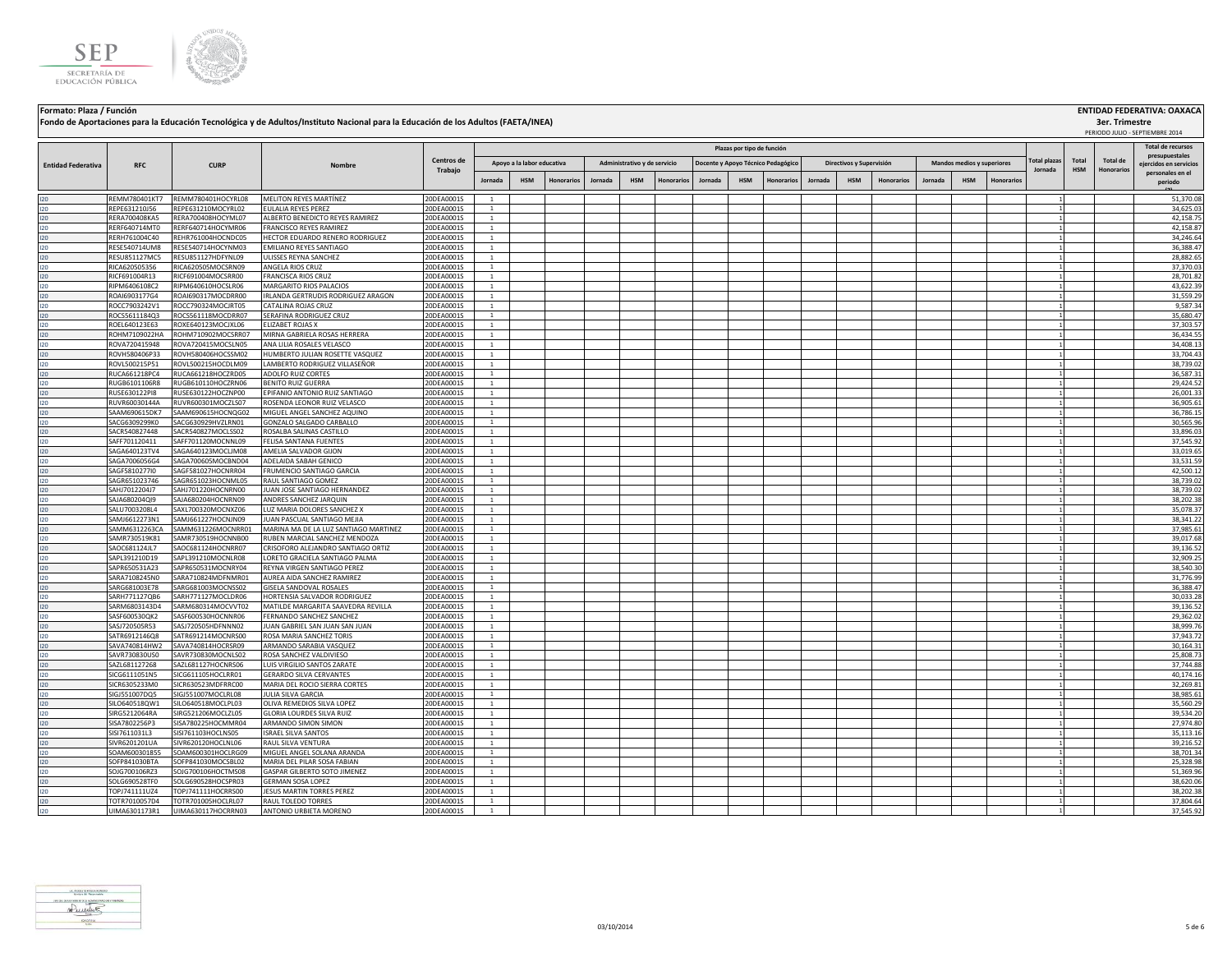



**Formato: Plaza / Función ENTIDAD FEDERATIVA: OAXACA Plazas por tipo de función RFC CURP Nombre Fondo de Aportaciones para la Educación Tecnológica y de Adultos/Instituto Nacional para la Educación de los Adultos (FAETA/INEA) Entidad Federativa RFC CURP CORP Nombre Centros de** <br> **CENTRO CURP Nombre CORP CURP CURP Apoyo a la labor educativa**

|                           |                                |                                          |                                                            |                          |                                |                            |            |         |                              |                   |         | Plazas por tipo de función |                                    |         |                          |                   |         |                            |           |                     |              |                   | <b>Total de recursos</b><br>presupuestales |
|---------------------------|--------------------------------|------------------------------------------|------------------------------------------------------------|--------------------------|--------------------------------|----------------------------|------------|---------|------------------------------|-------------------|---------|----------------------------|------------------------------------|---------|--------------------------|-------------------|---------|----------------------------|-----------|---------------------|--------------|-------------------|--------------------------------------------|
| <b>Entidad Federativa</b> | <b>RFC</b>                     | <b>CURP</b>                              | Nombre                                                     | Centros de               |                                | Apoyo a la labor educativa |            |         | Administrativo y de servicio |                   |         |                            | Docente y Apoyo Técnico Pedagógico |         | Directivos y Supervisión |                   |         | Mandos medios y superiores |           | <b>Total plazas</b> | <b>Total</b> | <b>Total de</b>   | eiercidos en servicios                     |
|                           |                                |                                          |                                                            | Trabajo                  |                                |                            |            |         |                              |                   |         |                            |                                    |         |                          |                   |         |                            |           | Jornada             | <b>HSM</b>   | <b>Honorarios</b> | personales en el                           |
|                           |                                |                                          |                                                            |                          | Jornada                        | <b>HSM</b>                 | Honorarios | Jornada | <b>HSM</b>                   | <b>Honorarios</b> | Jornada | <b>HSM</b>                 | <b>Honorarios</b>                  | Jornada | <b>HSM</b>               | <b>Honorarios</b> | Jornada | <b>HSM</b>                 | Honorario |                     |              |                   | periodo                                    |
| 120                       | REMM780401KT7                  | REMM780401HOCYRL08                       | <b>MELITON REYES MARTÍNEZ</b>                              | 20DEA0001S               | $\overline{1}$                 |                            |            |         |                              |                   |         |                            |                                    |         |                          |                   |         |                            |           |                     |              |                   | 51.370.08                                  |
| 120                       | REPE631210J56                  | REPE631210MOCYRL02                       | EULALIA REYES PEREZ                                        | 20DEA0001S               | <sup>1</sup>                   |                            |            |         |                              |                   |         |                            |                                    |         |                          |                   |         |                            |           |                     |              |                   | 34,625.03                                  |
| 120                       | RERA700408KA5                  | RERA700408HOCYML07                       | ALBERTO BENEDICTO REYES RAMIREZ                            | 20DEA0001S               | <sup>1</sup>                   |                            |            |         |                              |                   |         |                            |                                    |         |                          |                   |         |                            |           |                     |              |                   | 42,158.75                                  |
| 120                       | RERF640714MT0                  | RERF640714HOCYMR06                       | FRANCISCO REYES RAMIREZ                                    | 20DEA0001S               | $\mathbf{1}$                   |                            |            |         |                              |                   |         |                            |                                    |         |                          |                   |         |                            |           |                     |              |                   | 42,158.87                                  |
| 120                       | RERH761004C40                  | REHR761004HOCNDC05                       | HECTOR EDUARDO RENERO RODRIGUEZ                            | 20DEA0001S               | $\mathbf{1}$                   |                            |            |         |                              |                   |         |                            |                                    |         |                          |                   |         |                            |           |                     |              |                   | 34,246.64                                  |
| 120                       | RESE540714UM8                  | RESE540714HOCYNM03                       | EMILIANO REYES SANTIAGO                                    | 20DEA0001S               | $\mathbf{1}$                   |                            |            |         |                              |                   |         |                            |                                    |         |                          |                   |         |                            |           |                     |              |                   | 36,388.47                                  |
| 120                       | RESU851127MC5                  | RESU851127HDFYNL09                       | ULISSES REYNA SANCHEZ                                      | 20DEA0001S               | $\mathbf{1}$                   |                            |            |         |                              |                   |         |                            |                                    |         |                          |                   |         |                            |           |                     |              |                   | 28,882.65                                  |
| 120                       | RICA620505356                  | RICA620505MOCSRN09                       | ANGELA RIOS CRUZ                                           | 20DEA0001S               | $\overline{1}$                 |                            |            |         |                              |                   |         |                            |                                    |         |                          |                   |         |                            |           |                     |              |                   | 37.370.03                                  |
| 120<br>120                | RICF691004R13<br>RIPM6406108C2 | RICF691004MOCSRR00<br>RIPM640610HOCSLR06 | <b>FRANCISCA RIOS CRUZ</b><br>MARGARITO RIOS PALACIOS      | 20DEA0001S<br>20DEA0001S | $\mathbf{1}$<br>$\overline{1}$ |                            |            |         |                              |                   |         |                            |                                    |         |                          |                   |         |                            |           |                     |              |                   | 28,701.82<br>43,622.39                     |
| 120                       | ROAI6903177G4                  | ROAI690317MOCDRR00                       | IRLANDA GERTRUDIS RODRIGUEZ ARAGON                         | 20DEA0001S               | <sup>1</sup>                   |                            |            |         |                              |                   |         |                            |                                    |         |                          |                   |         |                            |           |                     |              |                   | 31,559.29                                  |
| 120                       | ROCC7903242V1                  | ROCC790324MOCJRT05                       | CATALINA ROJAS CRUZ                                        | 20DEA0001S               | 1                              |                            |            |         |                              |                   |         |                            |                                    |         |                          |                   |         |                            |           |                     |              |                   | 9,587.34                                   |
| 120                       | ROCS5611184Q3                  | ROCS561118MOCDRR07                       | SERAFINA RODRIGUEZ CRUZ                                    | 20DEA0001S               | $\mathbf{1}$                   |                            |            |         |                              |                   |         |                            |                                    |         |                          |                   |         |                            |           |                     |              |                   | 35,680.47                                  |
| 120                       | ROEL640123E63                  | ROXE640123MOCJXL06                       | ELIZABET ROJAS X                                           | 20DEA0001S               | <sup>1</sup>                   |                            |            |         |                              |                   |         |                            |                                    |         |                          |                   |         |                            |           |                     |              |                   | 37.303.57                                  |
| 120                       | ROHM7109022HA                  | ROHM710902MOCSRR07                       | MIRNA GABRIELA ROSAS HERRERA                               | 20DEA0001S               | 1                              |                            |            |         |                              |                   |         |                            |                                    |         |                          |                   |         |                            |           |                     |              |                   | 36,434.55                                  |
| 120                       | ROVA720415948                  | ROVA720415MOCSLN05                       | ANA LILIA ROSALES VELASCO                                  | 20DEA0001S               | $\mathbf{1}$                   |                            |            |         |                              |                   |         |                            |                                    |         |                          |                   |         |                            |           |                     |              |                   | 34,408.13                                  |
| 120                       | ROVH580406P33                  | ROVH580406HOCSSM02                       | HUMBERTO JULIAN ROSETTE VASQUEZ                            | 20DEA0001S               | <sup>1</sup>                   |                            |            |         |                              |                   |         |                            |                                    |         |                          |                   |         |                            |           |                     |              |                   | 33,704.43                                  |
| 120                       | ROVL500215P51                  | ROVL500215HOCDLM09                       | LAMBERTO RODRIGUEZ VILLASEÑOR                              | 20DEA0001S               | $\mathbf{1}$                   |                            |            |         |                              |                   |         |                            |                                    |         |                          |                   |         |                            |           |                     |              |                   | 38,739.02                                  |
| 120                       | RUCA661218PC4                  | RUCA661218HOCZRD05                       | ADOLFO RUIZ CORTES                                         | 20DEA0001S               | 1                              |                            |            |         |                              |                   |         |                            |                                    |         |                          |                   |         |                            |           |                     |              |                   | 36,587.31                                  |
| 120                       | RUGB6101106R8                  | RUGB610110HOCZRN06                       | BENITO RUIZ GUERRA                                         | 20DEA0001S               | <sup>1</sup>                   |                            |            |         |                              |                   |         |                            |                                    |         |                          |                   |         |                            |           |                     |              |                   | 29,424.52                                  |
| 120                       | RUSE630122PI8                  | RUSE630122HOCZNP00                       | EPIFANIO ANTONIO RUIZ SANTIAGO                             | 20DEA0001S               | <sup>1</sup>                   |                            |            |         |                              |                   |         |                            |                                    |         |                          |                   |         |                            |           |                     |              |                   | 26.001.33                                  |
| 120<br>120                | RUVR60030144A<br>SAAM690615DK7 | RUVR600301MOCZLS07<br>SAAM690615HOCNQG02 | ROSENDA LEONOR RUIZ VELASCO<br>MIGUEL ANGEL SANCHEZ AQUINO | 20DEA0001S<br>20DEA0001S | 1<br><sup>1</sup>              |                            |            |         |                              |                   |         |                            |                                    |         |                          |                   |         |                            |           |                     |              |                   | 36,905.61<br>36,786.15                     |
| 120                       | SACG6309299K0                  | SACG630929HVZLRN01                       | GONZALO SALGADO CARBALLO                                   | 20DEA0001S               | $\overline{1}$                 |                            |            |         |                              |                   |         |                            |                                    |         |                          |                   |         |                            |           |                     |              |                   | 30,565.96                                  |
| 120                       | SACR540827448                  | SACR540827MOCLSS02                       | ROSALBA SALINAS CASTILLO                                   | 20DEA0001S               | $\overline{1}$                 |                            |            |         |                              |                   |         |                            |                                    |         |                          |                   |         |                            |           |                     |              |                   | 33,896.03                                  |
| 120                       | SAFF701120411                  | SAFF701120MOCNNL09                       | FELISA SANTANA FUENTES                                     | 20DEA0001S               | $\mathbf{1}$                   |                            |            |         |                              |                   |         |                            |                                    |         |                          |                   |         |                            |           |                     |              |                   | 37,545.92                                  |
| 120                       | SAGA640123TV4                  | SAGA640123MOCLJM08                       | AMELIA SALVADOR GIJON                                      | 20DEA0001S               | 1                              |                            |            |         |                              |                   |         |                            |                                    |         |                          |                   |         |                            |           |                     |              |                   | 33,019.65                                  |
| 120                       | SAGA7006056G4                  | SAGA700605MOCBND04                       | ADELAIDA SABAH GENICO                                      | 20DEA0001S               | <sup>1</sup>                   |                            |            |         |                              |                   |         |                            |                                    |         |                          |                   |         |                            |           |                     |              |                   | 33,531.59                                  |
| 120                       | SAGF5810277I0                  | SAGF581027HOCNRR04                       | FRUMENCIO SANTIAGO GARCIA                                  | 20DEA0001S               | $\mathbf{1}$                   |                            |            |         |                              |                   |         |                            |                                    |         |                          |                   |         |                            |           |                     |              |                   | 42,500.12                                  |
| 120                       | SAGR651023746                  | SAGR651023HOCNML05                       | RAUL SANTIAGO GOMEZ                                        | 20DEA0001S               | 1                              |                            |            |         |                              |                   |         |                            |                                    |         |                          |                   |         |                            |           |                     |              |                   | 38.739.02                                  |
| 120                       | SAHJ7012204J7                  | SAHJ701220HOCNRN00                       | <b>IUAN JOSE SANTIAGO HERNANDEZ</b>                        | 20DEA0001S               | $\mathbf{1}$                   |                            |            |         |                              |                   |         |                            |                                    |         |                          |                   |         |                            |           |                     |              |                   | 38,739.02                                  |
| 120                       | SAJA680204QI9                  | SAJA680204HOCNRN09                       | ANDRES SANCHEZ JARQUIN                                     | 20DEA0001S               | 1                              |                            |            |         |                              |                   |         |                            |                                    |         |                          |                   |         |                            |           |                     |              |                   | 38,202.38                                  |
| 120                       | SALU7003208L4<br>SAMJ6612273N1 | SAXL700320MOCNXZ06<br>SAMJ661227HOCNJN09 | LUZ MARIA DOLORES SANCHEZ X<br>JUAN PASCUAL SANTIAGO MEJIA | 20DEA0001S<br>20DEA0001S | $\mathbf{1}$<br><sup>1</sup>   |                            |            |         |                              |                   |         |                            |                                    |         |                          |                   |         |                            |           |                     |              |                   | 35,078.37                                  |
| 120<br>120                | SAMM6312263CA                  | SAMM631226MOCNRR01                       | MARINA MA DE LA LUZ SANTIAGO MARTINEZ                      | 20DEA0001S               | $\mathbf{1}$                   |                            |            |         |                              |                   |         |                            |                                    |         |                          |                   |         |                            |           |                     |              |                   | 38,341.22<br>37,985.61                     |
| 120                       | SAMR730519K81                  | SAMR730519HOCNNB00                       | RUBEN MARCIAL SANCHEZ MENDOZA                              | 20DEA0001S               | $\mathbf{1}$                   |                            |            |         |                              |                   |         |                            |                                    |         |                          |                   |         |                            |           |                     |              |                   | 39,017.68                                  |
| 120                       | SAOC681124JL7                  | SAOC681124HOCNRR07                       | CRISOFORO ALEJANDRO SANTIAGO ORTIZ                         | 20DEA0001S               | $\mathbf{1}$                   |                            |            |         |                              |                   |         |                            |                                    |         |                          |                   |         |                            |           |                     |              |                   | 39,136.52                                  |
| 120                       | SAPL391210D19                  | SAPL391210MOCNLR08                       | LORETO GRACIELA SANTIAGO PALMA                             | 20DEA0001S               | $\overline{1}$                 |                            |            |         |                              |                   |         |                            |                                    |         |                          |                   |         |                            |           |                     |              |                   | 32,909.25                                  |
| 120                       | SAPR650531A23                  | SAPR650531MOCNRY04                       | REYNA VIRGEN SANTIAGO PEREZ                                | 20DEA0001S               | $\mathbf{1}$                   |                            |            |         |                              |                   |         |                            |                                    |         |                          |                   |         |                            |           |                     |              |                   | 38,540.30                                  |
| 120                       | SARA7108245N0                  | SARA710824MDFNMR01                       | AUREA AIDA SANCHEZ RAMIREZ                                 | 20DEA0001S               | $\mathbf{1}$                   |                            |            |         |                              |                   |         |                            |                                    |         |                          |                   |         |                            |           |                     |              |                   | 31,776.99                                  |
| 120                       | SARG681003E78                  | SARG681003MOCNSS02                       | GISELA SANDOVAL ROSALES                                    | 20DEA0001S               | <sup>1</sup>                   |                            |            |         |                              |                   |         |                            |                                    |         |                          |                   |         |                            |           |                     |              |                   | 36.388.47                                  |
| 120                       | SARH771127QB6                  | SARH771127MOCLDR06                       | HORTENSIA SALVADOR RODRIGUEZ                               | 20DEA0001S               | $\mathbf{1}$                   |                            |            |         |                              |                   |         |                            |                                    |         |                          |                   |         |                            |           |                     |              |                   | 30,033.28                                  |
| 120                       | SARM6803143D4                  | SARM680314MOCVVT02                       | MATILDE MARGARITA SAAVEDRA REVILLA                         | 20DEA0001S               | <sup>1</sup>                   |                            |            |         |                              |                   |         |                            |                                    |         |                          |                   |         |                            |           |                     |              |                   | 39,136.52                                  |
| 120                       | SASF600530QK2                  | SASF600530HOCNNR06                       | FERNANDO SANCHEZ SANCHEZ                                   | 20DEA0001S               | $\overline{1}$                 |                            |            |         |                              |                   |         |                            |                                    |         |                          |                   |         |                            |           |                     |              |                   | 29,362.02                                  |
| 120                       | SASJ720505R53                  | SASJ720505HDFNNN02<br>SATR691214MOCNRS00 | IUAN GABRIEL SAN JUAN SAN JUAN<br>ROSA MARIA SANCHEZ TORIS | 20DEA0001S               | $\overline{1}$                 |                            |            |         |                              |                   |         |                            |                                    |         |                          |                   |         |                            |           |                     |              |                   | 38,999.76<br>37,943.72                     |
| 120<br>120                | SATR6912146Q8<br>SAVA740814HW2 | SAVA740814HOCRSR09                       | ARMANDO SARABIA VASQUEZ                                    | 20DEA0001S<br>20DEA0001S | $\mathbf{1}$<br>1              |                            |            |         |                              |                   |         |                            |                                    |         |                          |                   |         |                            |           |                     |              |                   | 30,164.31                                  |
| 120                       | SAVR730830US0                  | SAVR730830MOCNLS02                       | ROSA SANCHEZ VALDIVIESO                                    | 20DEA0001S               | <sup>1</sup>                   |                            |            |         |                              |                   |         |                            |                                    |         |                          |                   |         |                            |           |                     |              |                   | 25,808.73                                  |
| 120                       | SAZL681127268                  | SAZL681127HOCNRS06                       | LUIS VIRGILIO SANTOS ZARATE                                | 20DEA0001S               | $\overline{1}$                 |                            |            |         |                              |                   |         |                            |                                    |         |                          |                   |         |                            |           |                     |              |                   | 37,744.88                                  |
| 120                       | SICG6111051N5                  | SICG611105HOCLRR01                       | <b>GERARDO SILVA CERVANTES</b>                             | 20DEA0001S               | $\mathbf{1}$                   |                            |            |         |                              |                   |         |                            |                                    |         |                          |                   |         |                            |           |                     |              |                   | 40,174.16                                  |
| 120                       | SICR6305233M0                  | SICR630523MDFRRC00                       | MARIA DEL ROCIO SIERRA CORTES                              | 20DEA0001S               | <sup>1</sup>                   |                            |            |         |                              |                   |         |                            |                                    |         |                          |                   |         |                            |           |                     |              |                   | 32,269.81                                  |
| 120                       | SIGJ551007DQ5                  | SIGJ551007MOCLRL08                       | <b>JULIA SILVA GARCIA</b>                                  | 20DEA0001S               | 1                              |                            |            |         |                              |                   |         |                            |                                    |         |                          |                   |         |                            |           |                     |              |                   | 38,985.61                                  |
| 120                       | SILO640518QW1                  | SILO640518MOCLPL03                       | OLIVA REMEDIOS SILVA LOPEZ                                 | 20DEA0001S               | $\mathbf{1}$                   |                            |            |         |                              |                   |         |                            |                                    |         |                          |                   |         |                            |           |                     |              |                   | 35,560.29                                  |
| 120                       | SIRG5212064RA                  | SIRG521206MOCLZL05                       | <b>GLORIA LOURDES SILVA RUIZ</b>                           | 20DEA0001S               | 1                              |                            |            |         |                              |                   |         |                            |                                    |         |                          |                   |         |                            |           |                     |              |                   | 39,534.20                                  |
| 120                       | SISA7802256P3                  | SISA780225HOCMMR04                       | ARMANDO SIMON SIMON                                        | 20DEA0001S               | $\sim$                         |                            |            |         |                              |                   |         |                            |                                    |         |                          |                   |         |                            |           |                     |              |                   | 27.974.80                                  |
| 120                       | SISI7611031L3                  | SISI761103HOCLNS05                       | <b>SRAEL SILVA SANTOS</b>                                  | 20DEA0001S               | $\mathbf{1}$                   |                            |            |         |                              |                   |         |                            |                                    |         |                          |                   |         |                            |           |                     |              |                   | 35,113.16                                  |
| 120                       | SIVR6201201UA<br>SOAM600301855 | SIVR620120HOCLNL06<br>SOAM600301HOCLRG09 | RAUL SILVA VENTURA<br>MIGUEL ANGEL SOLANA ARANDA           | 20DEA0001S               | <sup>1</sup><br>$\overline{1}$ |                            |            |         |                              |                   |         |                            |                                    |         |                          |                   |         |                            |           |                     |              |                   | 39,216.52                                  |
| 120<br>120                | SOFP841030BTA                  | SOFP841030MOCSBL02                       | MARIA DEL PILAR SOSA FABIAN                                | 20DEA0001S<br>20DEA0001S | $\mathbf{1}$                   |                            |            |         |                              |                   |         |                            |                                    |         |                          |                   |         |                            |           |                     |              |                   | 38,701.34<br>25,328.98                     |
| 120                       | SOJG700106RZ3                  | SOJG700106HOCTMS08                       | GASPAR GILBERTO SOTO JIMENEZ                               | 20DEA0001S               | $\mathbf{1}$                   |                            |            |         |                              |                   |         |                            |                                    |         |                          |                   |         |                            |           |                     |              |                   | 51,369.96                                  |
| 120                       | SOLG690528TF0                  | SOLG690528HOCSPR03                       | GERMAN SOSA LOPEZ                                          | 20DEA0001S               | <sup>1</sup>                   |                            |            |         |                              |                   |         |                            |                                    |         |                          |                   |         |                            |           |                     |              |                   | 38,620.06                                  |
| 120                       | TOPJ741111UZ4                  | TOPJ741111HOCRRS00                       | JESUS MARTIN TORRES PEREZ                                  | 20DEA0001S               | 1                              |                            |            |         |                              |                   |         |                            |                                    |         |                          |                   |         |                            |           |                     |              |                   | 38,202.38                                  |
| 120                       | TOTR7010057D4                  | TOTR701005HOCLRL07                       | RAUL TOLEDO TORRES                                         | 20DEA0001S               | 1                              |                            |            |         |                              |                   |         |                            |                                    |         |                          |                   |         |                            |           |                     |              |                   | 37,804.64                                  |
| 120                       | UIMA6301173R1                  | UIMA630117HOCRRN03                       | ANTONIO URBIETA MORENO                                     | 20DEA0001S               |                                |                            |            |         |                              |                   |         |                            |                                    |         |                          |                   |         |                            |           |                     |              |                   | 37,545.92                                  |
|                           |                                |                                          |                                                            |                          |                                |                            |            |         |                              |                   |         |                            |                                    |         |                          |                   |         |                            |           |                     |              |                   |                                            |



**3er. Trimestre**

PERIODO JULIO - SEPTIEMBRE 2014